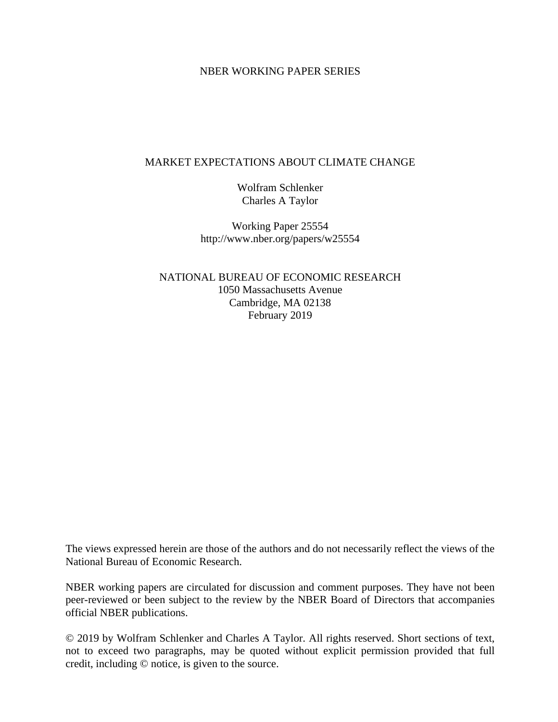#### NBER WORKING PAPER SERIES

#### MARKET EXPECTATIONS ABOUT CLIMATE CHANGE

Wolfram Schlenker Charles A Taylor

Working Paper 25554 http://www.nber.org/papers/w25554

NATIONAL BUREAU OF ECONOMIC RESEARCH 1050 Massachusetts Avenue Cambridge, MA 02138 February 2019

The views expressed herein are those of the authors and do not necessarily reflect the views of the National Bureau of Economic Research.

NBER working papers are circulated for discussion and comment purposes. They have not been peer-reviewed or been subject to the review by the NBER Board of Directors that accompanies official NBER publications.

© 2019 by Wolfram Schlenker and Charles A Taylor. All rights reserved. Short sections of text, not to exceed two paragraphs, may be quoted without explicit permission provided that full credit, including © notice, is given to the source.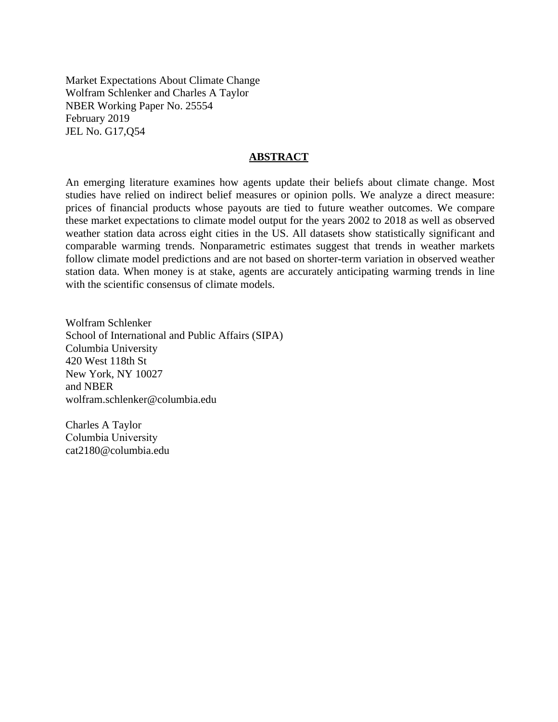Market Expectations About Climate Change Wolfram Schlenker and Charles A Taylor NBER Working Paper No. 25554 February 2019 JEL No. G17,Q54

#### **ABSTRACT**

An emerging literature examines how agents update their beliefs about climate change. Most studies have relied on indirect belief measures or opinion polls. We analyze a direct measure: prices of financial products whose payouts are tied to future weather outcomes. We compare these market expectations to climate model output for the years 2002 to 2018 as well as observed weather station data across eight cities in the US. All datasets show statistically significant and comparable warming trends. Nonparametric estimates suggest that trends in weather markets follow climate model predictions and are not based on shorter-term variation in observed weather station data. When money is at stake, agents are accurately anticipating warming trends in line with the scientific consensus of climate models.

Wolfram Schlenker School of International and Public Affairs (SIPA) Columbia University 420 West 118th St New York, NY 10027 and NBER wolfram.schlenker@columbia.edu

Charles A Taylor Columbia University cat2180@columbia.edu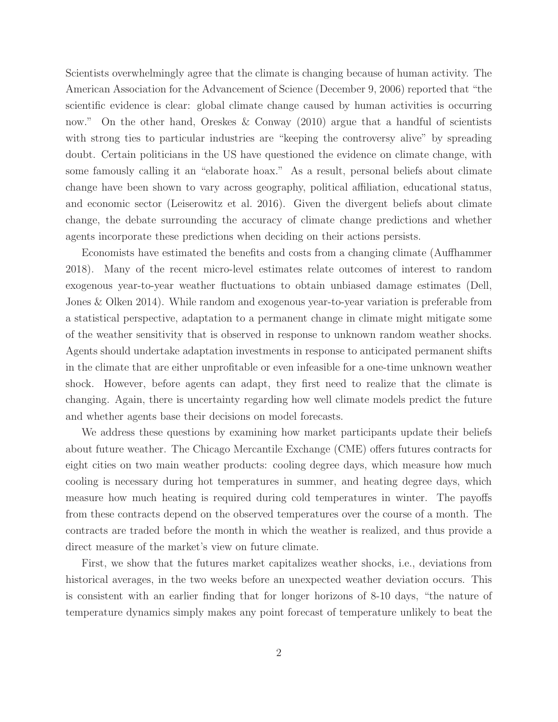Scientists overwhelmingly agree that the climate is changing because of human activity. The American Association for the Advancement of Science (December 9, 2006) reported that "the scientific evidence is clear: global climate change caused by human activities is occurring now." On the other hand, Oreskes  $\&$  Conway (2010) argue that a handful of scientists with strong ties to particular industries are "keeping the controversy alive" by spreading doubt. Certain politicians in the US have questioned the evidence on climate change, with some famously calling it an "elaborate hoax." As a result, personal beliefs about climate change have been shown to vary across geography, political affiliation, educational status, and economic sector (Leiserowitz et al. 2016). Given the divergent beliefs about climate change, the debate surrounding the accuracy of climate change predictions and whether agents incorporate these predictions when deciding on their actions persists.

Economists have estimated the benefits and costs from a changing climate (Auffhammer 2018). Many of the recent micro-level estimates relate outcomes of interest to random exogenous year-to-year weather fluctuations to obtain unbiased damage estimates (Dell, Jones & Olken 2014). While random and exogenous year-to-year variation is preferable from a statistical perspective, adaptation to a permanent change in climate might mitigate some of the weather sensitivity that is observed in response to unknown random weather shocks. Agents should undertake adaptation investments in response to anticipated permanent shifts in the climate that are either unprofitable or even infeasible for a one-time unknown weather shock. However, before agents can adapt, they first need to realize that the climate is changing. Again, there is uncertainty regarding how well climate models predict the future and whether agents base their decisions on model forecasts.

We address these questions by examining how market participants update their beliefs about future weather. The Chicago Mercantile Exchange (CME) offers futures contracts for eight cities on two main weather products: cooling degree days, which measure how much cooling is necessary during hot temperatures in summer, and heating degree days, which measure how much heating is required during cold temperatures in winter. The payoffs from these contracts depend on the observed temperatures over the course of a month. The contracts are traded before the month in which the weather is realized, and thus provide a direct measure of the market's view on future climate.

First, we show that the futures market capitalizes weather shocks, i.e., deviations from historical averages, in the two weeks before an unexpected weather deviation occurs. This is consistent with an earlier finding that for longer horizons of 8-10 days, "the nature of temperature dynamics simply makes any point forecast of temperature unlikely to beat the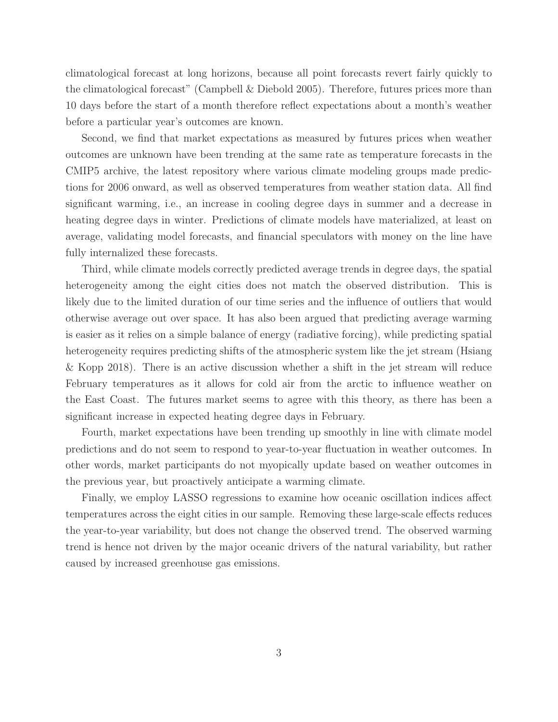climatological forecast at long horizons, because all point forecasts revert fairly quickly to the climatological forecast" (Campbell & Diebold 2005). Therefore, futures prices more than 10 days before the start of a month therefore reflect expectations about a month's weather before a particular year's outcomes are known.

Second, we find that market expectations as measured by futures prices when weather outcomes are unknown have been trending at the same rate as temperature forecasts in the CMIP5 archive, the latest repository where various climate modeling groups made predictions for 2006 onward, as well as observed temperatures from weather station data. All find significant warming, i.e., an increase in cooling degree days in summer and a decrease in heating degree days in winter. Predictions of climate models have materialized, at least on average, validating model forecasts, and financial speculators with money on the line have fully internalized these forecasts.

Third, while climate models correctly predicted average trends in degree days, the spatial heterogeneity among the eight cities does not match the observed distribution. This is likely due to the limited duration of our time series and the influence of outliers that would otherwise average out over space. It has also been argued that predicting average warming is easier as it relies on a simple balance of energy (radiative forcing), while predicting spatial heterogeneity requires predicting shifts of the atmospheric system like the jet stream (Hsiang & Kopp 2018). There is an active discussion whether a shift in the jet stream will reduce February temperatures as it allows for cold air from the arctic to influence weather on the East Coast. The futures market seems to agree with this theory, as there has been a significant increase in expected heating degree days in February.

Fourth, market expectations have been trending up smoothly in line with climate model predictions and do not seem to respond to year-to-year fluctuation in weather outcomes. In other words, market participants do not myopically update based on weather outcomes in the previous year, but proactively anticipate a warming climate.

Finally, we employ LASSO regressions to examine how oceanic oscillation indices affect temperatures across the eight cities in our sample. Removing these large-scale effects reduces the year-to-year variability, but does not change the observed trend. The observed warming trend is hence not driven by the major oceanic drivers of the natural variability, but rather caused by increased greenhouse gas emissions.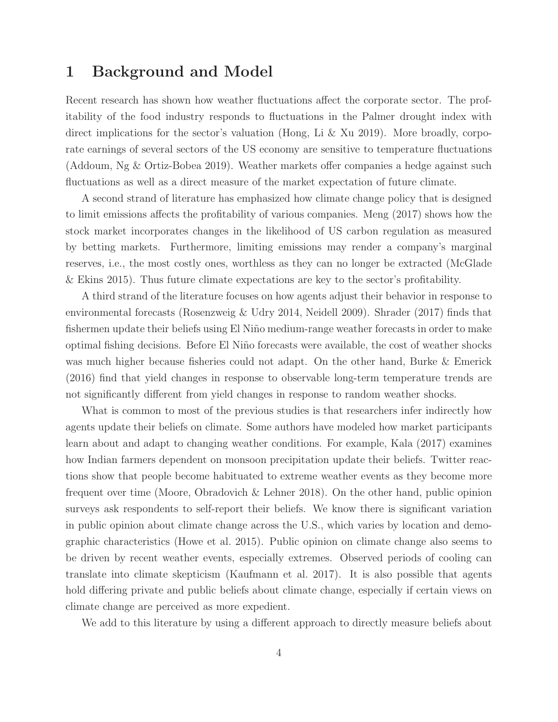## 1 Background and Model

Recent research has shown how weather fluctuations affect the corporate sector. The profitability of the food industry responds to fluctuations in the Palmer drought index with direct implications for the sector's valuation (Hong, Li & Xu 2019). More broadly, corporate earnings of several sectors of the US economy are sensitive to temperature fluctuations (Addoum, Ng & Ortiz-Bobea 2019). Weather markets offer companies a hedge against such fluctuations as well as a direct measure of the market expectation of future climate.

A second strand of literature has emphasized how climate change policy that is designed to limit emissions affects the profitability of various companies. Meng (2017) shows how the stock market incorporates changes in the likelihood of US carbon regulation as measured by betting markets. Furthermore, limiting emissions may render a company's marginal reserves, i.e., the most costly ones, worthless as they can no longer be extracted (McGlade & Ekins 2015). Thus future climate expectations are key to the sector's profitability.

A third strand of the literature focuses on how agents adjust their behavior in response to environmental forecasts (Rosenzweig & Udry 2014, Neidell 2009). Shrader (2017) finds that fishermen update their beliefs using El Niño medium-range weather forecasts in order to make optimal fishing decisions. Before El Niño forecasts were available, the cost of weather shocks was much higher because fisheries could not adapt. On the other hand, Burke & Emerick (2016) find that yield changes in response to observable long-term temperature trends are not significantly different from yield changes in response to random weather shocks.

What is common to most of the previous studies is that researchers infer indirectly how agents update their beliefs on climate. Some authors have modeled how market participants learn about and adapt to changing weather conditions. For example, Kala (2017) examines how Indian farmers dependent on monsoon precipitation update their beliefs. Twitter reactions show that people become habituated to extreme weather events as they become more frequent over time (Moore, Obradovich & Lehner 2018). On the other hand, public opinion surveys ask respondents to self-report their beliefs. We know there is significant variation in public opinion about climate change across the U.S., which varies by location and demographic characteristics (Howe et al. 2015). Public opinion on climate change also seems to be driven by recent weather events, especially extremes. Observed periods of cooling can translate into climate skepticism (Kaufmann et al. 2017). It is also possible that agents hold differing private and public beliefs about climate change, especially if certain views on climate change are perceived as more expedient.

We add to this literature by using a different approach to directly measure beliefs about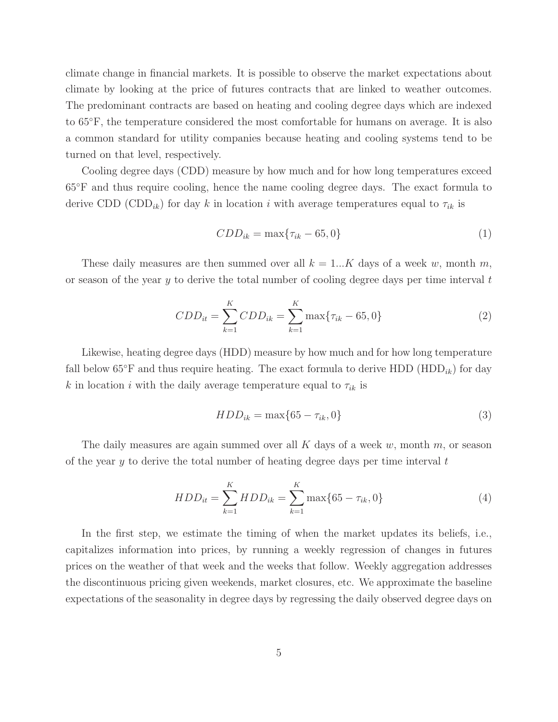climate change in financial markets. It is possible to observe the market expectations about climate by looking at the price of futures contracts that are linked to weather outcomes. The predominant contracts are based on heating and cooling degree days which are indexed to 65◦F, the temperature considered the most comfortable for humans on average. It is also a common standard for utility companies because heating and cooling systems tend to be turned on that level, respectively.

Cooling degree days (CDD) measure by how much and for how long temperatures exceed 65◦F and thus require cooling, hence the name cooling degree days. The exact formula to derive CDD (CDD<sub>ik</sub>) for day k in location i with average temperatures equal to  $\tau_{ik}$  is

$$
CDD_{ik} = \max\{\tau_{ik} - 65, 0\}
$$
\n
$$
\tag{1}
$$

These daily measures are then summed over all  $k = 1...K$  days of a week w, month m, or season of the year  $y$  to derive the total number of cooling degree days per time interval  $t$ 

$$
CDD_{it} = \sum_{k=1}^{K} CDD_{ik} = \sum_{k=1}^{K} \max\{\tau_{ik} - 65, 0\}
$$
 (2)

Likewise, heating degree days (HDD) measure by how much and for how long temperature fall below  $65^{\circ}$ F and thus require heating. The exact formula to derive HDD (HDD<sub>ik</sub>) for day k in location i with the daily average temperature equal to  $\tau_{ik}$  is

$$
HDD_{ik} = \max\{65 - \tau_{ik}, 0\}
$$
\n
$$
(3)
$$

The daily measures are again summed over all  $K$  days of a week  $w$ , month  $m$ , or season of the year  $\gamma$  to derive the total number of heating degree days per time interval t

$$
HDD_{it} = \sum_{k=1}^{K} HDD_{ik} = \sum_{k=1}^{K} \max\{65 - \tau_{ik}, 0\}
$$
 (4)

In the first step, we estimate the timing of when the market updates its beliefs, i.e., capitalizes information into prices, by running a weekly regression of changes in futures prices on the weather of that week and the weeks that follow. Weekly aggregation addresses the discontinuous pricing given weekends, market closures, etc. We approximate the baseline expectations of the seasonality in degree days by regressing the daily observed degree days on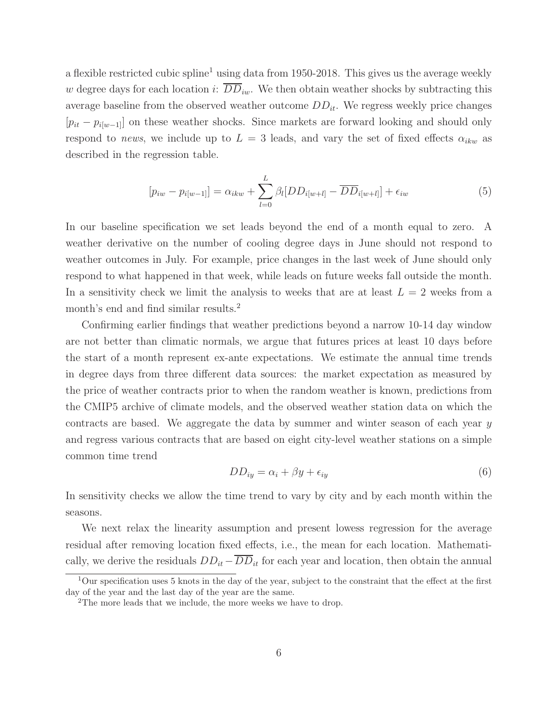a flexible restricted cubic spline<sup>1</sup> using data from 1950-2018. This gives us the average weekly w degree days for each location i:  $\overline{DD}_{iw}$ . We then obtain weather shocks by subtracting this average baseline from the observed weather outcome  $DD_{it}$ . We regress weekly price changes  $[p_{it} - p_{i[w-1]}]$  on these weather shocks. Since markets are forward looking and should only respond to *news*, we include up to  $L = 3$  leads, and vary the set of fixed effects  $\alpha_{ikw}$  as described in the regression table.

$$
[p_{iw} - p_{i[w-1]}] = \alpha_{ikw} + \sum_{l=0}^{L} \beta_l [DD_{i[w+l]} - \overline{DD}_{i[w+l]}] + \epsilon_{iw}
$$
\n
$$
(5)
$$

In our baseline specification we set leads beyond the end of a month equal to zero. A weather derivative on the number of cooling degree days in June should not respond to weather outcomes in July. For example, price changes in the last week of June should only respond to what happened in that week, while leads on future weeks fall outside the month. In a sensitivity check we limit the analysis to weeks that are at least  $L = 2$  weeks from a month's end and find similar results.<sup>2</sup>

Confirming earlier findings that weather predictions beyond a narrow 10-14 day window are not better than climatic normals, we argue that futures prices at least 10 days before the start of a month represent ex-ante expectations. We estimate the annual time trends in degree days from three different data sources: the market expectation as measured by the price of weather contracts prior to when the random weather is known, predictions from the CMIP5 archive of climate models, and the observed weather station data on which the contracts are based. We aggregate the data by summer and winter season of each year y and regress various contracts that are based on eight city-level weather stations on a simple common time trend

$$
DD_{iy} = \alpha_i + \beta y + \epsilon_{iy} \tag{6}
$$

In sensitivity checks we allow the time trend to vary by city and by each month within the seasons.

We next relax the linearity assumption and present lowess regression for the average residual after removing location fixed effects, i.e., the mean for each location. Mathematically, we derive the residuals  $DD_{it} - \overline{DD}_{it}$  for each year and location, then obtain the annual

 $1$ Our specification uses 5 knots in the day of the year, subject to the constraint that the effect at the first day of the year and the last day of the year are the same.

<sup>2</sup>The more leads that we include, the more weeks we have to drop.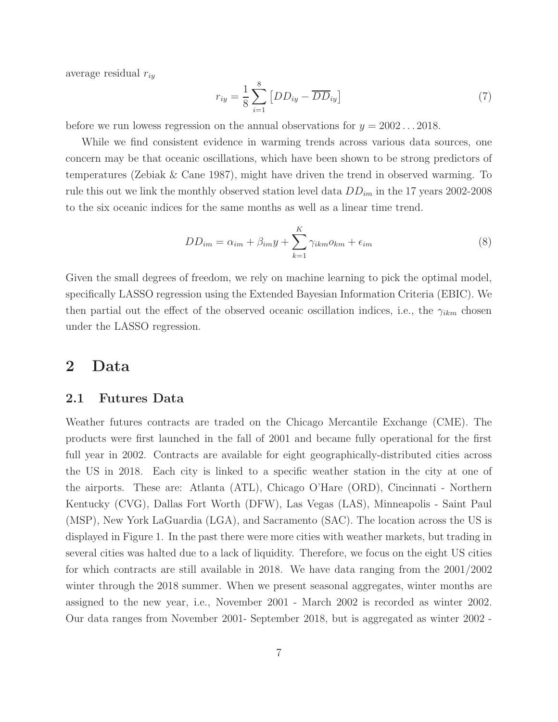average residual  $r_{iy}$ 

$$
r_{iy} = \frac{1}{8} \sum_{i=1}^{8} \left[ DD_{iy} - \overline{DD}_{iy} \right]
$$
 (7)

before we run lowess regression on the annual observations for  $y = 2002 \dots 2018$ .

While we find consistent evidence in warming trends across various data sources, one concern may be that oceanic oscillations, which have been shown to be strong predictors of temperatures (Zebiak & Cane 1987), might have driven the trend in observed warming. To rule this out we link the monthly observed station level data  $DD_{im}$  in the 17 years 2002-2008 to the six oceanic indices for the same months as well as a linear time trend.

$$
DD_{im} = \alpha_{im} + \beta_{im}y + \sum_{k=1}^{K} \gamma_{ikm}o_{km} + \epsilon_{im}
$$
\n(8)

Given the small degrees of freedom, we rely on machine learning to pick the optimal model, specifically LASSO regression using the Extended Bayesian Information Criteria (EBIC). We then partial out the effect of the observed oceanic oscillation indices, i.e., the  $\gamma_{ikm}$  chosen under the LASSO regression.

## 2 Data

#### 2.1 Futures Data

Weather futures contracts are traded on the Chicago Mercantile Exchange (CME). The products were first launched in the fall of 2001 and became fully operational for the first full year in 2002. Contracts are available for eight geographically-distributed cities across the US in 2018. Each city is linked to a specific weather station in the city at one of the airports. These are: Atlanta (ATL), Chicago O'Hare (ORD), Cincinnati - Northern Kentucky (CVG), Dallas Fort Worth (DFW), Las Vegas (LAS), Minneapolis - Saint Paul (MSP), New York LaGuardia (LGA), and Sacramento (SAC). The location across the US is displayed in Figure 1. In the past there were more cities with weather markets, but trading in several cities was halted due to a lack of liquidity. Therefore, we focus on the eight US cities for which contracts are still available in 2018. We have data ranging from the 2001/2002 winter through the 2018 summer. When we present seasonal aggregates, winter months are assigned to the new year, i.e., November 2001 - March 2002 is recorded as winter 2002. Our data ranges from November 2001- September 2018, but is aggregated as winter 2002 -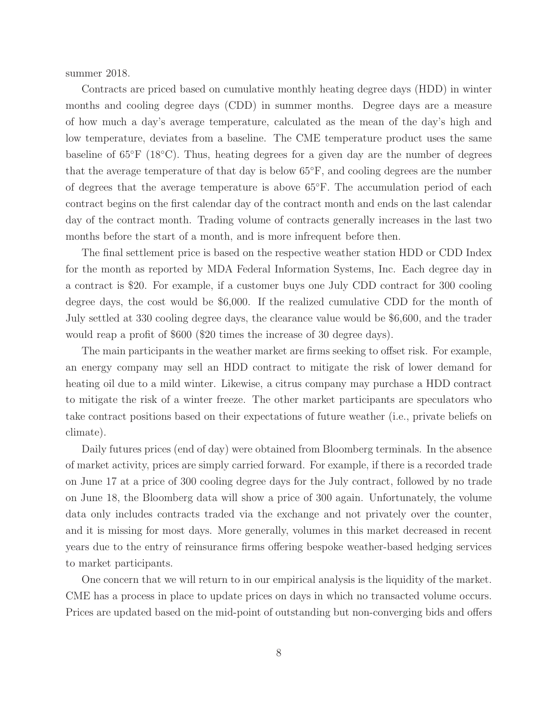summer 2018.

Contracts are priced based on cumulative monthly heating degree days (HDD) in winter months and cooling degree days (CDD) in summer months. Degree days are a measure of how much a day's average temperature, calculated as the mean of the day's high and low temperature, deviates from a baseline. The CME temperature product uses the same baseline of 65◦F (18◦C). Thus, heating degrees for a given day are the number of degrees that the average temperature of that day is below 65◦F, and cooling degrees are the number of degrees that the average temperature is above 65◦F. The accumulation period of each contract begins on the first calendar day of the contract month and ends on the last calendar day of the contract month. Trading volume of contracts generally increases in the last two months before the start of a month, and is more infrequent before then.

The final settlement price is based on the respective weather station HDD or CDD Index for the month as reported by MDA Federal Information Systems, Inc. Each degree day in a contract is \$20. For example, if a customer buys one July CDD contract for 300 cooling degree days, the cost would be \$6,000. If the realized cumulative CDD for the month of July settled at 330 cooling degree days, the clearance value would be \$6,600, and the trader would reap a profit of \$600 (\$20 times the increase of 30 degree days).

The main participants in the weather market are firms seeking to offset risk. For example, an energy company may sell an HDD contract to mitigate the risk of lower demand for heating oil due to a mild winter. Likewise, a citrus company may purchase a HDD contract to mitigate the risk of a winter freeze. The other market participants are speculators who take contract positions based on their expectations of future weather (i.e., private beliefs on climate).

Daily futures prices (end of day) were obtained from Bloomberg terminals. In the absence of market activity, prices are simply carried forward. For example, if there is a recorded trade on June 17 at a price of 300 cooling degree days for the July contract, followed by no trade on June 18, the Bloomberg data will show a price of 300 again. Unfortunately, the volume data only includes contracts traded via the exchange and not privately over the counter, and it is missing for most days. More generally, volumes in this market decreased in recent years due to the entry of reinsurance firms offering bespoke weather-based hedging services to market participants.

One concern that we will return to in our empirical analysis is the liquidity of the market. CME has a process in place to update prices on days in which no transacted volume occurs. Prices are updated based on the mid-point of outstanding but non-converging bids and offers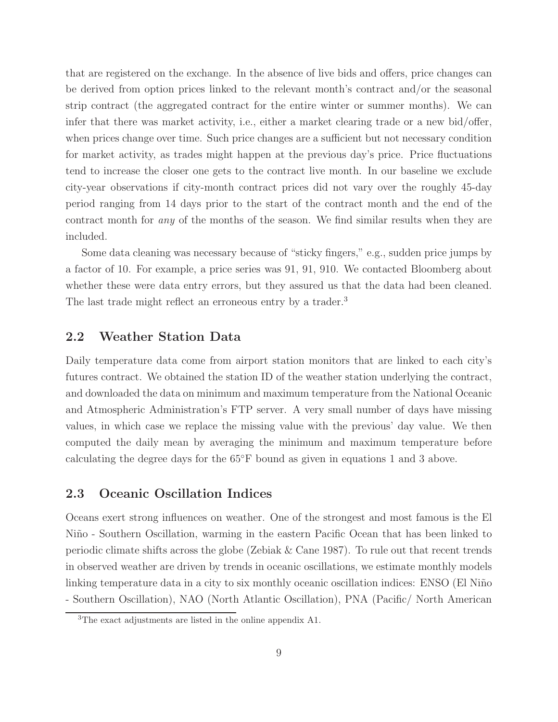that are registered on the exchange. In the absence of live bids and offers, price changes can be derived from option prices linked to the relevant month's contract and/or the seasonal strip contract (the aggregated contract for the entire winter or summer months). We can infer that there was market activity, i.e., either a market clearing trade or a new bid/offer, when prices change over time. Such price changes are a sufficient but not necessary condition for market activity, as trades might happen at the previous day's price. Price fluctuations tend to increase the closer one gets to the contract live month. In our baseline we exclude city-year observations if city-month contract prices did not vary over the roughly 45-day period ranging from 14 days prior to the start of the contract month and the end of the contract month for *any* of the months of the season. We find similar results when they are included.

Some data cleaning was necessary because of "sticky fingers," e.g., sudden price jumps by a factor of 10. For example, a price series was 91, 91, 910. We contacted Bloomberg about whether these were data entry errors, but they assured us that the data had been cleaned. The last trade might reflect an erroneous entry by a trader.<sup>3</sup>

### 2.2 Weather Station Data

Daily temperature data come from airport station monitors that are linked to each city's futures contract. We obtained the station ID of the weather station underlying the contract, and downloaded the data on minimum and maximum temperature from the National Oceanic and Atmospheric Administration's FTP server. A very small number of days have missing values, in which case we replace the missing value with the previous' day value. We then computed the daily mean by averaging the minimum and maximum temperature before calculating the degree days for the 65◦F bound as given in equations 1 and 3 above.

#### 2.3 Oceanic Oscillation Indices

Oceans exert strong influences on weather. One of the strongest and most famous is the El Niño - Southern Oscillation, warming in the eastern Pacific Ocean that has been linked to periodic climate shifts across the globe (Zebiak & Cane 1987). To rule out that recent trends in observed weather are driven by trends in oceanic oscillations, we estimate monthly models linking temperature data in a city to six monthly oceanic oscillation indices: ENSO (El Niño) - Southern Oscillation), NAO (North Atlantic Oscillation), PNA (Pacific/ North American

<sup>3</sup>The exact adjustments are listed in the online appendix A1.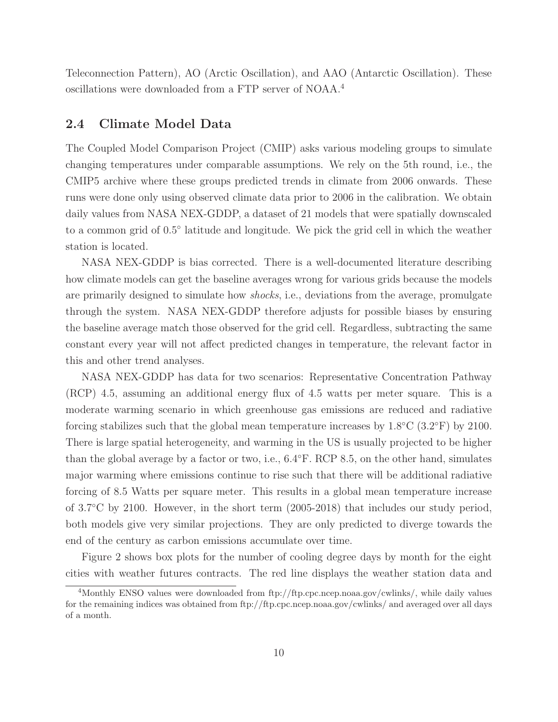Teleconnection Pattern), AO (Arctic Oscillation), and AAO (Antarctic Oscillation). These oscillations were downloaded from a FTP server of NOAA.<sup>4</sup>

### 2.4 Climate Model Data

The Coupled Model Comparison Project (CMIP) asks various modeling groups to simulate changing temperatures under comparable assumptions. We rely on the 5th round, i.e., the CMIP5 archive where these groups predicted trends in climate from 2006 onwards. These runs were done only using observed climate data prior to 2006 in the calibration. We obtain daily values from NASA NEX-GDDP, a dataset of 21 models that were spatially downscaled to a common grid of 0.5◦ latitude and longitude. We pick the grid cell in which the weather station is located.

NASA NEX-GDDP is bias corrected. There is a well-documented literature describing how climate models can get the baseline averages wrong for various grids because the models are primarily designed to simulate how *shocks*, i.e., deviations from the average, promulgate through the system. NASA NEX-GDDP therefore adjusts for possible biases by ensuring the baseline average match those observed for the grid cell. Regardless, subtracting the same constant every year will not affect predicted changes in temperature, the relevant factor in this and other trend analyses.

NASA NEX-GDDP has data for two scenarios: Representative Concentration Pathway (RCP) 4.5, assuming an additional energy flux of 4.5 watts per meter square. This is a moderate warming scenario in which greenhouse gas emissions are reduced and radiative forcing stabilizes such that the global mean temperature increases by  $1.8\degree C$  (3.2 $\degree F$ ) by 2100. There is large spatial heterogeneity, and warming in the US is usually projected to be higher than the global average by a factor or two, i.e., 6.4◦F. RCP 8.5, on the other hand, simulates major warming where emissions continue to rise such that there will be additional radiative forcing of 8.5 Watts per square meter. This results in a global mean temperature increase of 3.7◦C by 2100. However, in the short term (2005-2018) that includes our study period, both models give very similar projections. They are only predicted to diverge towards the end of the century as carbon emissions accumulate over time.

Figure 2 shows box plots for the number of cooling degree days by month for the eight cities with weather futures contracts. The red line displays the weather station data and

<sup>4</sup>Monthly ENSO values were downloaded from ftp://ftp.cpc.ncep.noaa.gov/cwlinks/, while daily values for the remaining indices was obtained from ftp://ftp.cpc.ncep.noaa.gov/cwlinks/ and averaged over all days of a month.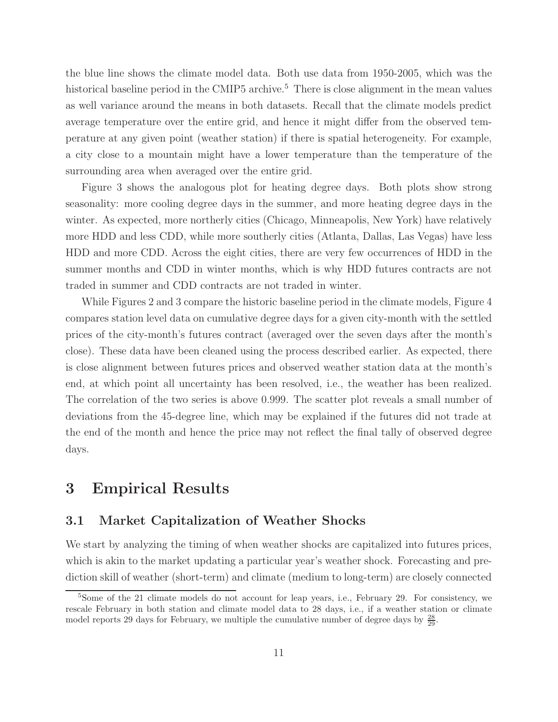the blue line shows the climate model data. Both use data from 1950-2005, which was the historical baseline period in the CMIP5 archive.<sup>5</sup> There is close alignment in the mean values as well variance around the means in both datasets. Recall that the climate models predict average temperature over the entire grid, and hence it might differ from the observed temperature at any given point (weather station) if there is spatial heterogeneity. For example, a city close to a mountain might have a lower temperature than the temperature of the surrounding area when averaged over the entire grid.

Figure 3 shows the analogous plot for heating degree days. Both plots show strong seasonality: more cooling degree days in the summer, and more heating degree days in the winter. As expected, more northerly cities (Chicago, Minneapolis, New York) have relatively more HDD and less CDD, while more southerly cities (Atlanta, Dallas, Las Vegas) have less HDD and more CDD. Across the eight cities, there are very few occurrences of HDD in the summer months and CDD in winter months, which is why HDD futures contracts are not traded in summer and CDD contracts are not traded in winter.

While Figures 2 and 3 compare the historic baseline period in the climate models, Figure 4 compares station level data on cumulative degree days for a given city-month with the settled prices of the city-month's futures contract (averaged over the seven days after the month's close). These data have been cleaned using the process described earlier. As expected, there is close alignment between futures prices and observed weather station data at the month's end, at which point all uncertainty has been resolved, i.e., the weather has been realized. The correlation of the two series is above 0.999. The scatter plot reveals a small number of deviations from the 45-degree line, which may be explained if the futures did not trade at the end of the month and hence the price may not reflect the final tally of observed degree days.

## 3 Empirical Results

### 3.1 Market Capitalization of Weather Shocks

We start by analyzing the timing of when weather shocks are capitalized into futures prices, which is akin to the market updating a particular year's weather shock. Forecasting and prediction skill of weather (short-term) and climate (medium to long-term) are closely connected

<sup>&</sup>lt;sup>5</sup>Some of the 21 climate models do not account for leap years, i.e., February 29. For consistency, we rescale February in both station and climate model data to 28 days, i.e., if a weather station or climate model reports 29 days for February, we multiple the cumulative number of degree days by  $\frac{28}{29}$ .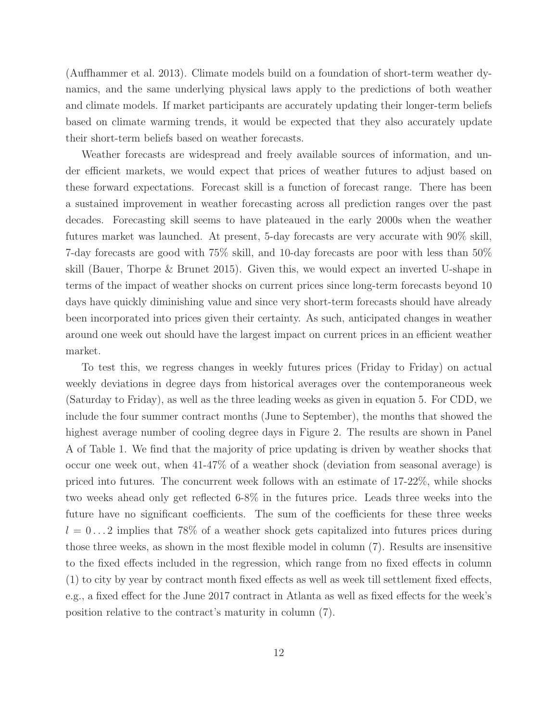(Auffhammer et al. 2013). Climate models build on a foundation of short-term weather dynamics, and the same underlying physical laws apply to the predictions of both weather and climate models. If market participants are accurately updating their longer-term beliefs based on climate warming trends, it would be expected that they also accurately update their short-term beliefs based on weather forecasts.

Weather forecasts are widespread and freely available sources of information, and under efficient markets, we would expect that prices of weather futures to adjust based on these forward expectations. Forecast skill is a function of forecast range. There has been a sustained improvement in weather forecasting across all prediction ranges over the past decades. Forecasting skill seems to have plateaued in the early 2000s when the weather futures market was launched. At present, 5-day forecasts are very accurate with 90% skill, 7-day forecasts are good with 75% skill, and 10-day forecasts are poor with less than 50% skill (Bauer, Thorpe & Brunet 2015). Given this, we would expect an inverted U-shape in terms of the impact of weather shocks on current prices since long-term forecasts beyond 10 days have quickly diminishing value and since very short-term forecasts should have already been incorporated into prices given their certainty. As such, anticipated changes in weather around one week out should have the largest impact on current prices in an efficient weather market.

To test this, we regress changes in weekly futures prices (Friday to Friday) on actual weekly deviations in degree days from historical averages over the contemporaneous week (Saturday to Friday), as well as the three leading weeks as given in equation 5. For CDD, we include the four summer contract months (June to September), the months that showed the highest average number of cooling degree days in Figure 2. The results are shown in Panel A of Table 1. We find that the majority of price updating is driven by weather shocks that occur one week out, when 41-47% of a weather shock (deviation from seasonal average) is priced into futures. The concurrent week follows with an estimate of 17-22%, while shocks two weeks ahead only get reflected 6-8% in the futures price. Leads three weeks into the future have no significant coefficients. The sum of the coefficients for these three weeks  $l = 0...2$  implies that 78% of a weather shock gets capitalized into futures prices during those three weeks, as shown in the most flexible model in column (7). Results are insensitive to the fixed effects included in the regression, which range from no fixed effects in column (1) to city by year by contract month fixed effects as well as week till settlement fixed effects, e.g., a fixed effect for the June 2017 contract in Atlanta as well as fixed effects for the week's position relative to the contract's maturity in column (7).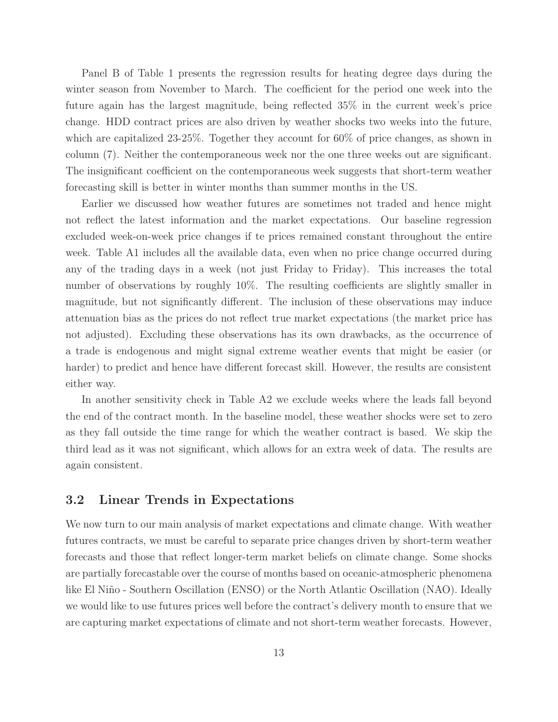Panel B of Table 1 presents the regression results for heating degree days during the winter season from November to March. The coefficient for the period one week into the future again has the largest magnitude, being reflected 35% in the current week's price change. HDD contract prices are also driven by weather shocks two weeks into the future, which are capitalized 23-25%. Together they account for 60% of price changes, as shown in column (7). Neither the contemporaneous week nor the one three weeks out are significant. The insignificant coefficient on the contemporaneous week suggests that short-term weather forecasting skill is better in winter months than summer months in the US.

Earlier we discussed how weather futures are sometimes not traded and hence might not reflect the latest information and the market expectations. Our baseline regression excluded week-on-week price changes if te prices remained constant throughout the entire week. Table A1 includes all the available data, even when no price change occurred during any of the trading days in a week (not just Friday to Friday). This increases the total number of observations by roughly 10%. The resulting coefficients are slightly smaller in magnitude, but not significantly different. The inclusion of these observations may induce attenuation bias as the prices do not reflect true market expectations (the market price has not adjusted). Excluding these observations has its own drawbacks, as the occurrence of a trade is endogenous and might signal extreme weather events that might be easier (or harder) to predict and hence have different forecast skill. However, the results are consistent either way.

In another sensitivity check in Table A2 we exclude weeks where the leads fall beyond the end of the contract month. In the baseline model, these weather shocks were set to zero as they fall outside the time range for which the weather contract is based. We skip the third lead as it was not significant, which allows for an extra week of data. The results are again consistent.

#### 3.2 Linear Trends in Expectations

We now turn to our main analysis of market expectations and climate change. With weather futures contracts, we must be careful to separate price changes driven by short-term weather forecasts and those that reflect longer-term market beliefs on climate change. Some shocks are partially forecastable over the course of months based on oceanic-atmospheric phenomena like El Niño - Southern Oscillation (ENSO) or the North Atlantic Oscillation (NAO). Ideally we would like to use futures prices well before the contract's delivery month to ensure that we are capturing market expectations of climate and not short-term weather forecasts. However,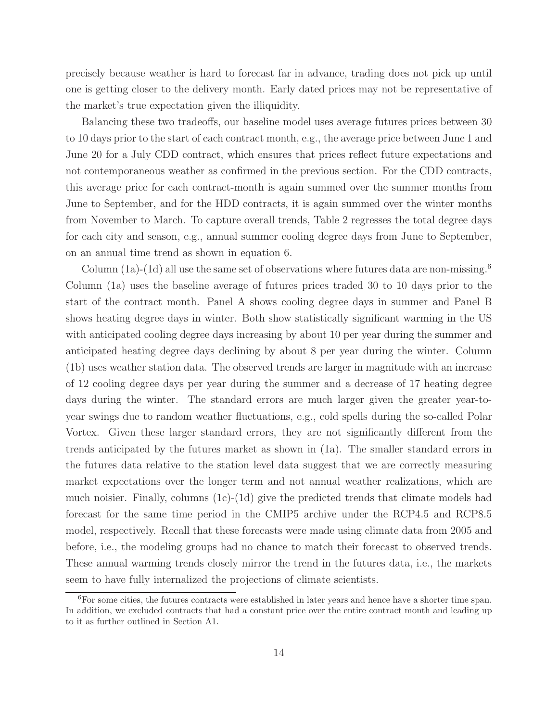precisely because weather is hard to forecast far in advance, trading does not pick up until one is getting closer to the delivery month. Early dated prices may not be representative of the market's true expectation given the illiquidity.

Balancing these two tradeoffs, our baseline model uses average futures prices between 30 to 10 days prior to the start of each contract month, e.g., the average price between June 1 and June 20 for a July CDD contract, which ensures that prices reflect future expectations and not contemporaneous weather as confirmed in the previous section. For the CDD contracts, this average price for each contract-month is again summed over the summer months from June to September, and for the HDD contracts, it is again summed over the winter months from November to March. To capture overall trends, Table 2 regresses the total degree days for each city and season, e.g., annual summer cooling degree days from June to September, on an annual time trend as shown in equation 6.

Column (1a)-(1d) all use the same set of observations where futures data are non-missing.<sup>6</sup> Column (1a) uses the baseline average of futures prices traded 30 to 10 days prior to the start of the contract month. Panel A shows cooling degree days in summer and Panel B shows heating degree days in winter. Both show statistically significant warming in the US with anticipated cooling degree days increasing by about 10 per year during the summer and anticipated heating degree days declining by about 8 per year during the winter. Column (1b) uses weather station data. The observed trends are larger in magnitude with an increase of 12 cooling degree days per year during the summer and a decrease of 17 heating degree days during the winter. The standard errors are much larger given the greater year-toyear swings due to random weather fluctuations, e.g., cold spells during the so-called Polar Vortex. Given these larger standard errors, they are not significantly different from the trends anticipated by the futures market as shown in (1a). The smaller standard errors in the futures data relative to the station level data suggest that we are correctly measuring market expectations over the longer term and not annual weather realizations, which are much noisier. Finally, columns (1c)-(1d) give the predicted trends that climate models had forecast for the same time period in the CMIP5 archive under the RCP4.5 and RCP8.5 model, respectively. Recall that these forecasts were made using climate data from 2005 and before, i.e., the modeling groups had no chance to match their forecast to observed trends. These annual warming trends closely mirror the trend in the futures data, i.e., the markets seem to have fully internalized the projections of climate scientists.

<sup>&</sup>lt;sup>6</sup>For some cities, the futures contracts were established in later years and hence have a shorter time span. In addition, we excluded contracts that had a constant price over the entire contract month and leading up to it as further outlined in Section A1.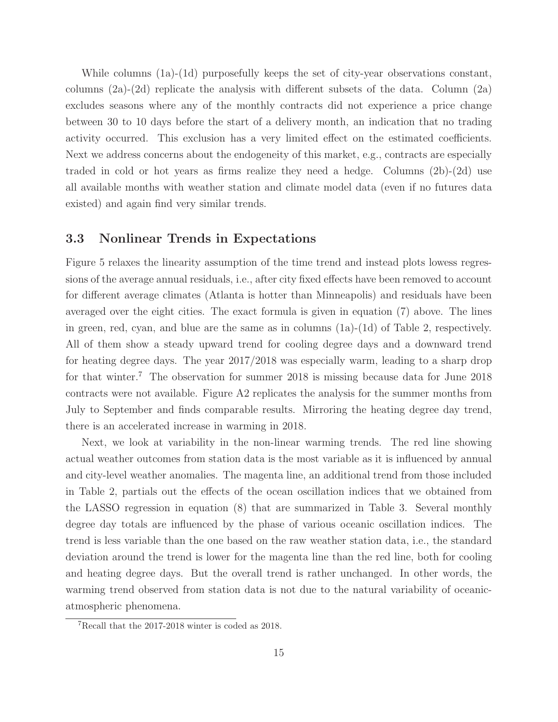While columns (1a)-(1d) purposefully keeps the set of city-year observations constant, columns  $(2a)-(2d)$  replicate the analysis with different subsets of the data. Column  $(2a)$ excludes seasons where any of the monthly contracts did not experience a price change between 30 to 10 days before the start of a delivery month, an indication that no trading activity occurred. This exclusion has a very limited effect on the estimated coefficients. Next we address concerns about the endogeneity of this market, e.g., contracts are especially traded in cold or hot years as firms realize they need a hedge. Columns (2b)-(2d) use all available months with weather station and climate model data (even if no futures data existed) and again find very similar trends.

#### 3.3 Nonlinear Trends in Expectations

Figure 5 relaxes the linearity assumption of the time trend and instead plots lowess regressions of the average annual residuals, i.e., after city fixed effects have been removed to account for different average climates (Atlanta is hotter than Minneapolis) and residuals have been averaged over the eight cities. The exact formula is given in equation (7) above. The lines in green, red, cyan, and blue are the same as in columns  $(1a)-(1d)$  of Table 2, respectively. All of them show a steady upward trend for cooling degree days and a downward trend for heating degree days. The year 2017/2018 was especially warm, leading to a sharp drop for that winter.<sup>7</sup> The observation for summer 2018 is missing because data for June 2018 contracts were not available. Figure A2 replicates the analysis for the summer months from July to September and finds comparable results. Mirroring the heating degree day trend, there is an accelerated increase in warming in 2018.

Next, we look at variability in the non-linear warming trends. The red line showing actual weather outcomes from station data is the most variable as it is influenced by annual and city-level weather anomalies. The magenta line, an additional trend from those included in Table 2, partials out the effects of the ocean oscillation indices that we obtained from the LASSO regression in equation (8) that are summarized in Table 3. Several monthly degree day totals are influenced by the phase of various oceanic oscillation indices. The trend is less variable than the one based on the raw weather station data, i.e., the standard deviation around the trend is lower for the magenta line than the red line, both for cooling and heating degree days. But the overall trend is rather unchanged. In other words, the warming trend observed from station data is not due to the natural variability of oceanicatmospheric phenomena.

<sup>7</sup>Recall that the 2017-2018 winter is coded as 2018.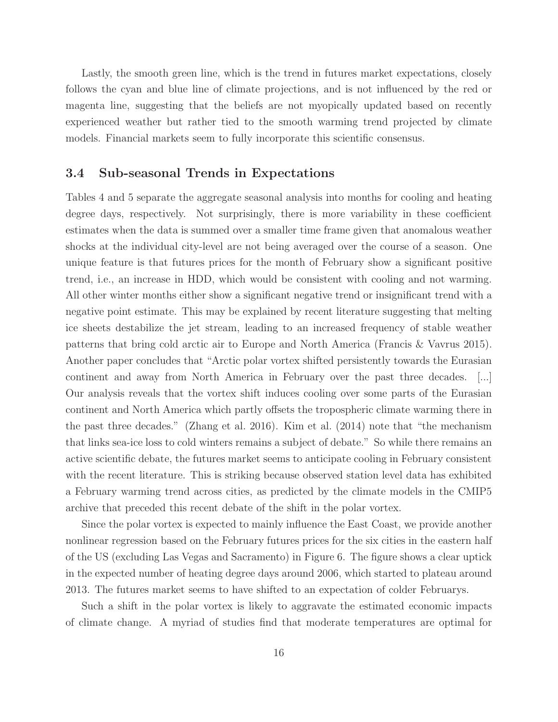Lastly, the smooth green line, which is the trend in futures market expectations, closely follows the cyan and blue line of climate projections, and is not influenced by the red or magenta line, suggesting that the beliefs are not myopically updated based on recently experienced weather but rather tied to the smooth warming trend projected by climate models. Financial markets seem to fully incorporate this scientific consensus.

#### 3.4 Sub-seasonal Trends in Expectations

Tables 4 and 5 separate the aggregate seasonal analysis into months for cooling and heating degree days, respectively. Not surprisingly, there is more variability in these coefficient estimates when the data is summed over a smaller time frame given that anomalous weather shocks at the individual city-level are not being averaged over the course of a season. One unique feature is that futures prices for the month of February show a significant positive trend, i.e., an increase in HDD, which would be consistent with cooling and not warming. All other winter months either show a significant negative trend or insignificant trend with a negative point estimate. This may be explained by recent literature suggesting that melting ice sheets destabilize the jet stream, leading to an increased frequency of stable weather patterns that bring cold arctic air to Europe and North America (Francis & Vavrus 2015). Another paper concludes that "Arctic polar vortex shifted persistently towards the Eurasian continent and away from North America in February over the past three decades. [...] Our analysis reveals that the vortex shift induces cooling over some parts of the Eurasian continent and North America which partly offsets the tropospheric climate warming there in the past three decades." (Zhang et al. 2016). Kim et al. (2014) note that "the mechanism that links sea-ice loss to cold winters remains a subject of debate." So while there remains an active scientific debate, the futures market seems to anticipate cooling in February consistent with the recent literature. This is striking because observed station level data has exhibited a February warming trend across cities, as predicted by the climate models in the CMIP5 archive that preceded this recent debate of the shift in the polar vortex.

Since the polar vortex is expected to mainly influence the East Coast, we provide another nonlinear regression based on the February futures prices for the six cities in the eastern half of the US (excluding Las Vegas and Sacramento) in Figure 6. The figure shows a clear uptick in the expected number of heating degree days around 2006, which started to plateau around 2013. The futures market seems to have shifted to an expectation of colder Februarys.

Such a shift in the polar vortex is likely to aggravate the estimated economic impacts of climate change. A myriad of studies find that moderate temperatures are optimal for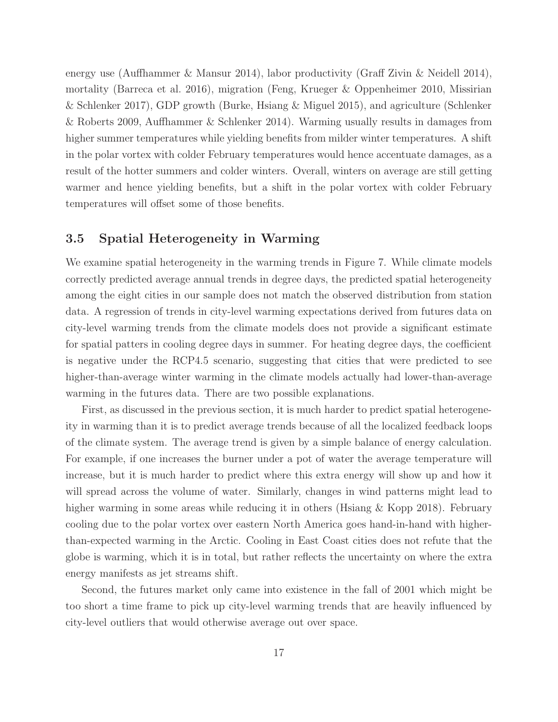energy use (Auffhammer & Mansur 2014), labor productivity (Graff Zivin & Neidell 2014), mortality (Barreca et al. 2016), migration (Feng, Krueger & Oppenheimer 2010, Missirian & Schlenker 2017), GDP growth (Burke, Hsiang & Miguel 2015), and agriculture (Schlenker & Roberts 2009, Auffhammer & Schlenker 2014). Warming usually results in damages from higher summer temperatures while yielding benefits from milder winter temperatures. A shift in the polar vortex with colder February temperatures would hence accentuate damages, as a result of the hotter summers and colder winters. Overall, winters on average are still getting warmer and hence yielding benefits, but a shift in the polar vortex with colder February temperatures will offset some of those benefits.

### 3.5 Spatial Heterogeneity in Warming

We examine spatial heterogeneity in the warming trends in Figure 7. While climate models correctly predicted average annual trends in degree days, the predicted spatial heterogeneity among the eight cities in our sample does not match the observed distribution from station data. A regression of trends in city-level warming expectations derived from futures data on city-level warming trends from the climate models does not provide a significant estimate for spatial patters in cooling degree days in summer. For heating degree days, the coefficient is negative under the RCP4.5 scenario, suggesting that cities that were predicted to see higher-than-average winter warming in the climate models actually had lower-than-average warming in the futures data. There are two possible explanations.

First, as discussed in the previous section, it is much harder to predict spatial heterogeneity in warming than it is to predict average trends because of all the localized feedback loops of the climate system. The average trend is given by a simple balance of energy calculation. For example, if one increases the burner under a pot of water the average temperature will increase, but it is much harder to predict where this extra energy will show up and how it will spread across the volume of water. Similarly, changes in wind patterns might lead to higher warming in some areas while reducing it in others (Hsiang & Kopp 2018). February cooling due to the polar vortex over eastern North America goes hand-in-hand with higherthan-expected warming in the Arctic. Cooling in East Coast cities does not refute that the globe is warming, which it is in total, but rather reflects the uncertainty on where the extra energy manifests as jet streams shift.

Second, the futures market only came into existence in the fall of 2001 which might be too short a time frame to pick up city-level warming trends that are heavily influenced by city-level outliers that would otherwise average out over space.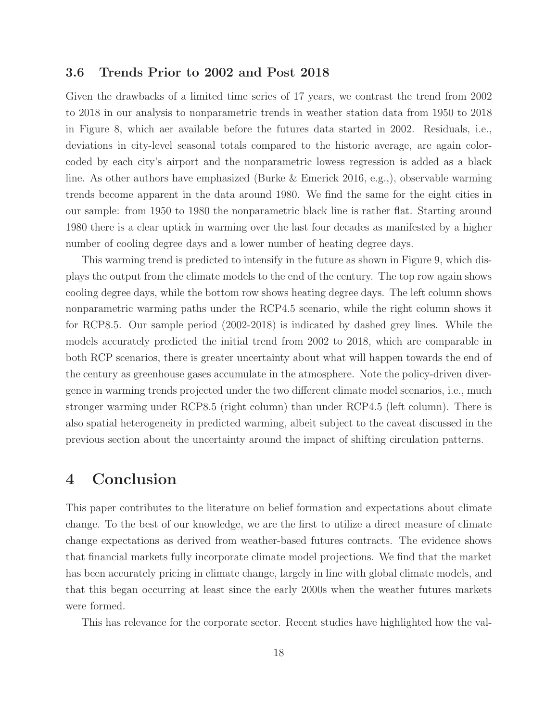#### 3.6 Trends Prior to 2002 and Post 2018

Given the drawbacks of a limited time series of 17 years, we contrast the trend from 2002 to 2018 in our analysis to nonparametric trends in weather station data from 1950 to 2018 in Figure 8, which aer available before the futures data started in 2002. Residuals, i.e., deviations in city-level seasonal totals compared to the historic average, are again colorcoded by each city's airport and the nonparametric lowess regression is added as a black line. As other authors have emphasized (Burke & Emerick 2016, e.g.,), observable warming trends become apparent in the data around 1980. We find the same for the eight cities in our sample: from 1950 to 1980 the nonparametric black line is rather flat. Starting around 1980 there is a clear uptick in warming over the last four decades as manifested by a higher number of cooling degree days and a lower number of heating degree days.

This warming trend is predicted to intensify in the future as shown in Figure 9, which displays the output from the climate models to the end of the century. The top row again shows cooling degree days, while the bottom row shows heating degree days. The left column shows nonparametric warming paths under the RCP4.5 scenario, while the right column shows it for RCP8.5. Our sample period (2002-2018) is indicated by dashed grey lines. While the models accurately predicted the initial trend from 2002 to 2018, which are comparable in both RCP scenarios, there is greater uncertainty about what will happen towards the end of the century as greenhouse gases accumulate in the atmosphere. Note the policy-driven divergence in warming trends projected under the two different climate model scenarios, i.e., much stronger warming under RCP8.5 (right column) than under RCP4.5 (left column). There is also spatial heterogeneity in predicted warming, albeit subject to the caveat discussed in the previous section about the uncertainty around the impact of shifting circulation patterns.

## 4 Conclusion

This paper contributes to the literature on belief formation and expectations about climate change. To the best of our knowledge, we are the first to utilize a direct measure of climate change expectations as derived from weather-based futures contracts. The evidence shows that financial markets fully incorporate climate model projections. We find that the market has been accurately pricing in climate change, largely in line with global climate models, and that this began occurring at least since the early 2000s when the weather futures markets were formed.

This has relevance for the corporate sector. Recent studies have highlighted how the val-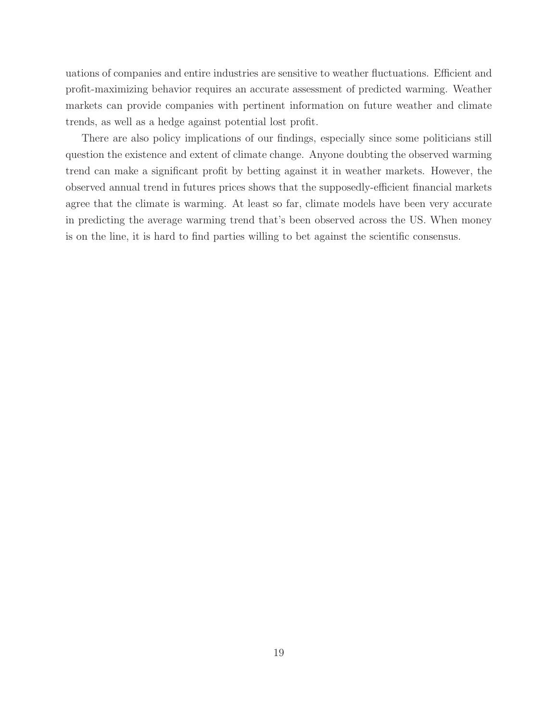uations of companies and entire industries are sensitive to weather fluctuations. Efficient and profit-maximizing behavior requires an accurate assessment of predicted warming. Weather markets can provide companies with pertinent information on future weather and climate trends, as well as a hedge against potential lost profit.

There are also policy implications of our findings, especially since some politicians still question the existence and extent of climate change. Anyone doubting the observed warming trend can make a significant profit by betting against it in weather markets. However, the observed annual trend in futures prices shows that the supposedly-efficient financial markets agree that the climate is warming. At least so far, climate models have been very accurate in predicting the average warming trend that's been observed across the US. When money is on the line, it is hard to find parties willing to bet against the scientific consensus.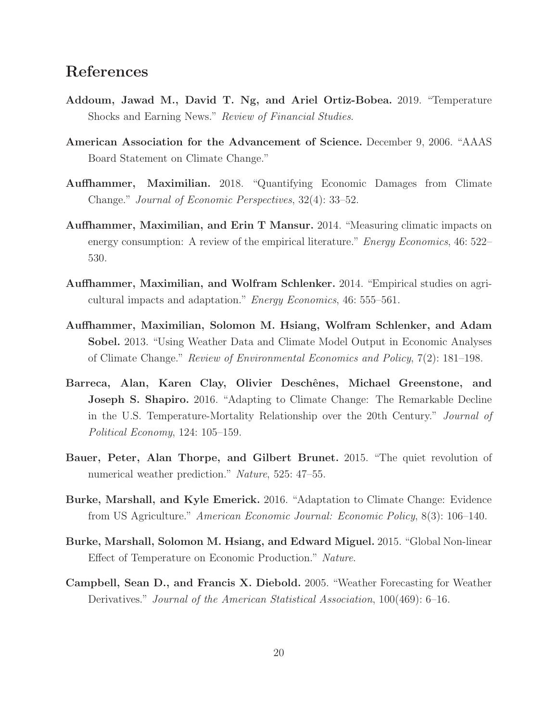# References

- Addoum, Jawad M., David T. Ng, and Ariel Ortiz-Bobea. 2019. "Temperature Shocks and Earning News." *Review of Financial Studies*.
- American Association for the Advancement of Science. December 9, 2006. "AAAS Board Statement on Climate Change."
- Auffhammer, Maximilian. 2018. "Quantifying Economic Damages from Climate Change." *Journal of Economic Perspectives*, 32(4): 33–52.
- Auffhammer, Maximilian, and Erin T Mansur. 2014. "Measuring climatic impacts on energy consumption: A review of the empirical literature." *Energy Economics*, 46: 522– 530.
- Auffhammer, Maximilian, and Wolfram Schlenker. 2014. "Empirical studies on agricultural impacts and adaptation." *Energy Economics*, 46: 555–561.
- Auffhammer, Maximilian, Solomon M. Hsiang, Wolfram Schlenker, and Adam Sobel. 2013. "Using Weather Data and Climate Model Output in Economic Analyses of Climate Change." *Review of Environmental Economics and Policy*, 7(2): 181–198.
- Barreca, Alan, Karen Clay, Olivier Deschênes, Michael Greenstone, and Joseph S. Shapiro. 2016. "Adapting to Climate Change: The Remarkable Decline in the U.S. Temperature-Mortality Relationship over the 20th Century." *Journal of Political Economy*, 124: 105–159.
- Bauer, Peter, Alan Thorpe, and Gilbert Brunet. 2015. "The quiet revolution of numerical weather prediction." *Nature*, 525: 47–55.
- Burke, Marshall, and Kyle Emerick. 2016. "Adaptation to Climate Change: Evidence from US Agriculture." *American Economic Journal: Economic Policy*, 8(3): 106–140.
- Burke, Marshall, Solomon M. Hsiang, and Edward Miguel. 2015. "Global Non-linear Effect of Temperature on Economic Production." *Nature*.
- Campbell, Sean D., and Francis X. Diebold. 2005. "Weather Forecasting for Weather Derivatives." *Journal of the American Statistical Association*, 100(469): 6–16.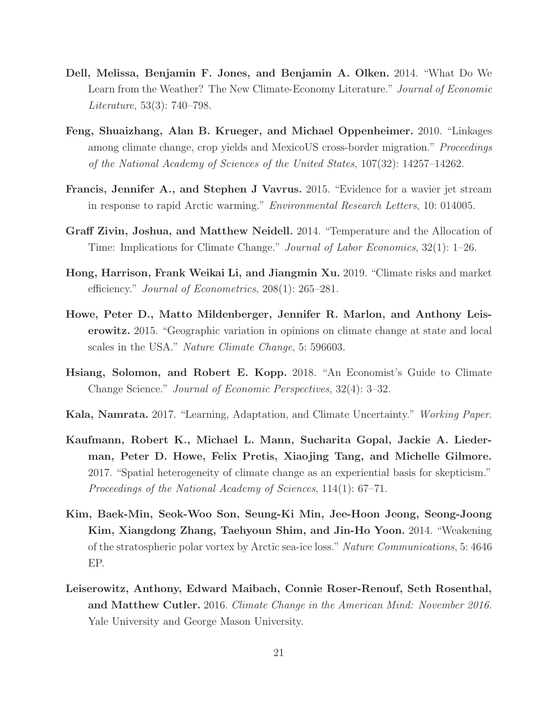- Dell, Melissa, Benjamin F. Jones, and Benjamin A. Olken. 2014. "What Do We Learn from the Weather? The New Climate-Economy Literature." *Journal of Economic Literature*, 53(3): 740–798.
- Feng, Shuaizhang, Alan B. Krueger, and Michael Oppenheimer. 2010. "Linkages among climate change, crop yields and MexicoUS cross-border migration." *Proceedings of the National Academy of Sciences of the United States*, 107(32): 14257–14262.
- Francis, Jennifer A., and Stephen J Vavrus. 2015. "Evidence for a wavier jet stream in response to rapid Arctic warming." *Environmental Research Letters*, 10: 014005.
- Graff Zivin, Joshua, and Matthew Neidell. 2014. "Temperature and the Allocation of Time: Implications for Climate Change." *Journal of Labor Economics*, 32(1): 1–26.
- Hong, Harrison, Frank Weikai Li, and Jiangmin Xu. 2019. "Climate risks and market efficiency." *Journal of Econometrics*, 208(1): 265–281.
- Howe, Peter D., Matto Mildenberger, Jennifer R. Marlon, and Anthony Leiserowitz. 2015. "Geographic variation in opinions on climate change at state and local scales in the USA." *Nature Climate Change*, 5: 596603.
- Hsiang, Solomon, and Robert E. Kopp. 2018. "An Economist's Guide to Climate Change Science." *Journal of Economic Perspectives*, 32(4): 3–32.
- Kala, Namrata. 2017. "Learning, Adaptation, and Climate Uncertainty." *Working Paper*.
- Kaufmann, Robert K., Michael L. Mann, Sucharita Gopal, Jackie A. Liederman, Peter D. Howe, Felix Pretis, Xiaojing Tang, and Michelle Gilmore. 2017. "Spatial heterogeneity of climate change as an experiential basis for skepticism." *Proceedings of the National Academy of Sciences*, 114(1): 67–71.
- Kim, Baek-Min, Seok-Woo Son, Seung-Ki Min, Jee-Hoon Jeong, Seong-Joong Kim, Xiangdong Zhang, Taehyoun Shim, and Jin-Ho Yoon. 2014. "Weakening of the stratospheric polar vortex by Arctic sea-ice loss." *Nature Communications*, 5: 4646 EP.
- Leiserowitz, Anthony, Edward Maibach, Connie Roser-Renouf, Seth Rosenthal, and Matthew Cutler. 2016. *Climate Change in the American Mind: November 2016.* Yale University and George Mason University.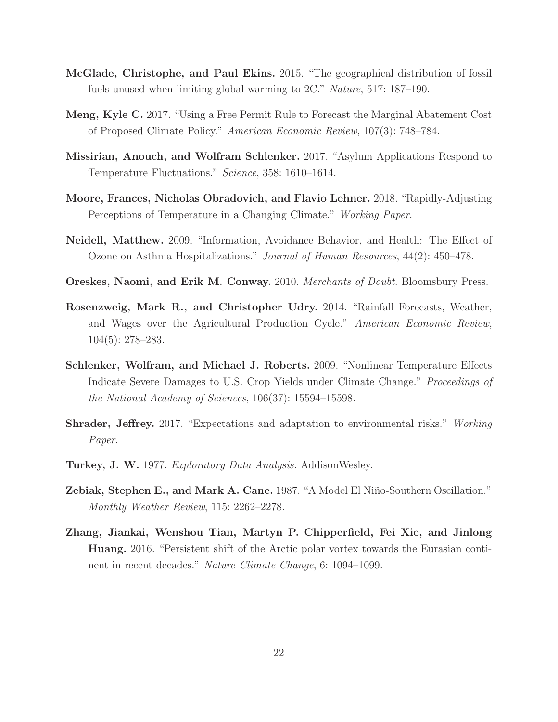- McGlade, Christophe, and Paul Ekins. 2015. "The geographical distribution of fossil fuels unused when limiting global warming to 2C." *Nature*, 517: 187–190.
- Meng, Kyle C. 2017. "Using a Free Permit Rule to Forecast the Marginal Abatement Cost of Proposed Climate Policy." *American Economic Review*, 107(3): 748–784.
- Missirian, Anouch, and Wolfram Schlenker. 2017. "Asylum Applications Respond to Temperature Fluctuations." *Science*, 358: 1610–1614.
- Moore, Frances, Nicholas Obradovich, and Flavio Lehner. 2018. "Rapidly-Adjusting Perceptions of Temperature in a Changing Climate." *Working Paper*.
- Neidell, Matthew. 2009. "Information, Avoidance Behavior, and Health: The Effect of Ozone on Asthma Hospitalizations." *Journal of Human Resources*, 44(2): 450–478.
- Oreskes, Naomi, and Erik M. Conway. 2010. *Merchants of Doubt.* Bloomsbury Press.
- Rosenzweig, Mark R., and Christopher Udry. 2014. "Rainfall Forecasts, Weather, and Wages over the Agricultural Production Cycle." *American Economic Review*, 104(5): 278–283.
- Schlenker, Wolfram, and Michael J. Roberts. 2009. "Nonlinear Temperature Effects Indicate Severe Damages to U.S. Crop Yields under Climate Change." *Proceedings of the National Academy of Sciences*, 106(37): 15594–15598.
- Shrader, Jeffrey. 2017. "Expectations and adaptation to environmental risks." *Working Paper*.
- Turkey, J. W. 1977. *Exploratory Data Analysis.* AddisonWesley.
- Zebiak, Stephen E., and Mark A. Cane. 1987. "A Model El Niño-Southern Oscillation." *Monthly Weather Review*, 115: 2262–2278.
- Zhang, Jiankai, Wenshou Tian, Martyn P. Chipperfield, Fei Xie, and Jinlong Huang. 2016. "Persistent shift of the Arctic polar vortex towards the Eurasian continent in recent decades." *Nature Climate Change*, 6: 1094–1099.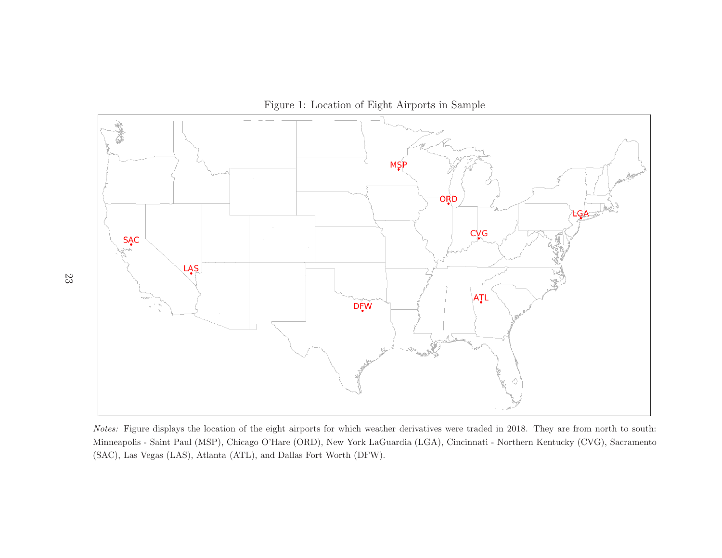

Notes: Figure displays the location of the eight airports for which weather derivatives were traded in 2018. They are from north to south: Minneapolis - Saint Paul (MSP), Chicago O'Hare (ORD), New York LaGuardia (LGA), Cincinnati - Northern Kentucky (CVG), Sacramento (SAC), Las Vegas (LAS), Atlanta (ATL), and Dallas Fort Worth (DFW).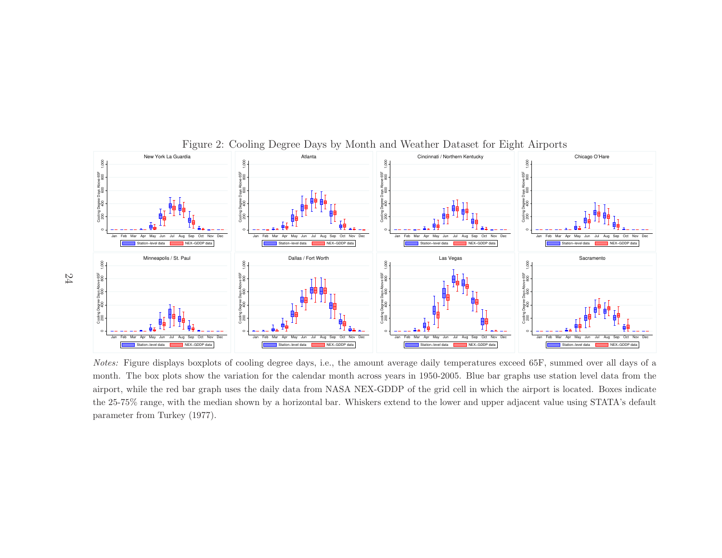

#### Figure 2: Cooling Degree Days by Month and Weather Dataset for Eight Airports

Notes: Figure displays boxplots of cooling degree days, i.e., the amount average daily temperatures exceed 65F, summed over all days of <sup>a</sup> month. The box <sup>p</sup>lots show the variation for the calendar month across years in 1950-2005. Blue bar graphs use station level data from the airport, while the red bar grap<sup>h</sup> uses the daily data from NASA NEX-GDDP of the grid cell in which the airport is located. Boxes indicate the 25-75% range, with the median shown by <sup>a</sup> horizontal bar. Whiskers extend to the lower and upper adjacent value using STATA's default parameter from Turkey (1977).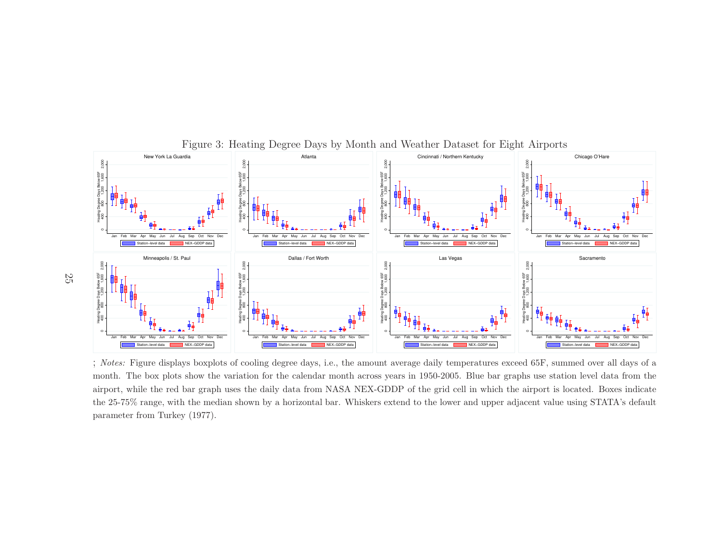

Figure 3: Heating Degree Days by Month and Weather Dataset for Eight Airports

;; Notes: Figure displays boxplots of cooling degree days, i.e., the amount average daily temperatures exceed 65F, summed over all days of a month. The box <sup>p</sup>lots show the variation for the calendar month across years in 1950-2005. Blue bar graphs use station level data from the airport, while the red bar grap<sup>h</sup> uses the daily data from NASA NEX-GDDP of the grid cell in which the airport is located. Boxes indicate the 25-75% range, with the median shown by <sup>a</sup> horizontal bar. Whiskers extend to the lower and upper adjacent value using STATA's default parameter from Turkey (1977).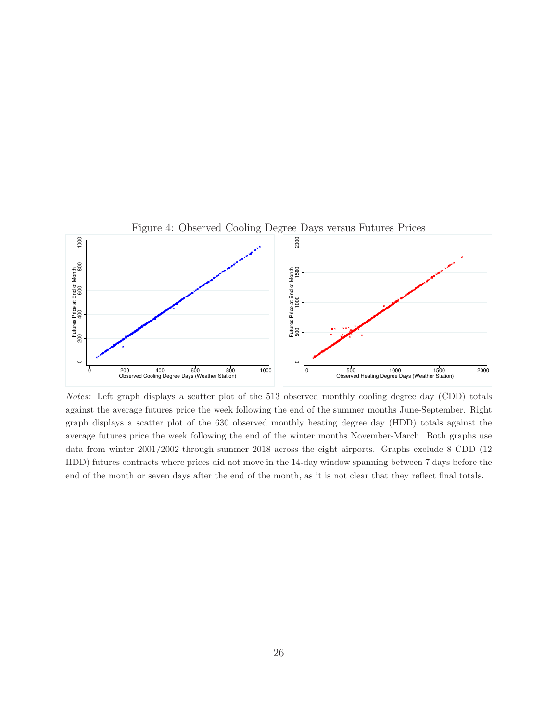

Notes: Left graph displays a scatter plot of the 513 observed monthly cooling degree day (CDD) totals against the average futures price the week following the end of the summer months June-September. Right graph displays a scatter plot of the 630 observed monthly heating degree day (HDD) totals against the average futures price the week following the end of the winter months November-March. Both graphs use data from winter 2001/2002 through summer 2018 across the eight airports. Graphs exclude 8 CDD (12 HDD) futures contracts where prices did not move in the 14-day window spanning between 7 days before the end of the month or seven days after the end of the month, as it is not clear that they reflect final totals.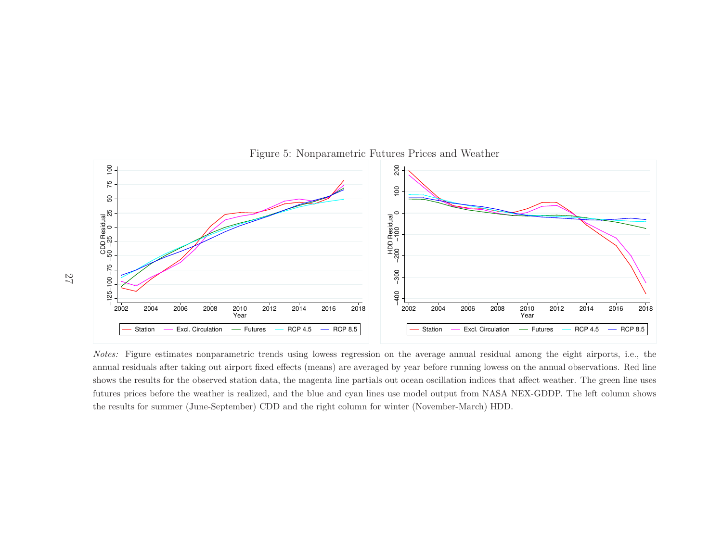

#### Figure 5: Nonparametric Futures Prices and Weather

Notes: Figure estimates nonparametric trends using lowess regression on the average annual residual among the eight airports, i.e., the annual residuals after taking out airport fixed effects (means) are averaged by year before running lowess on the annual observations. Red line shows the results for the observed station data, the magenta line partials out ocean oscillation indices that affect weather. The green line uses futures prices before the weather is realized, and the blue and cyan lines use model output from NASA NEX-GDDP. The left column shows the results for summer (June-September) CDD and the right column for winter (November-March) HDD.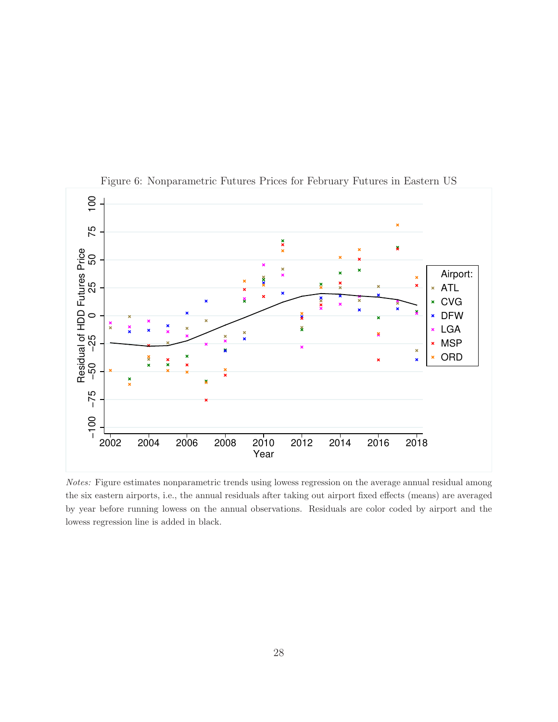

Figure 6: Nonparametric Futures Prices for February Futures in Eastern US

Notes: Figure estimates nonparametric trends using lowess regression on the average annual residual among the six eastern airports, i.e., the annual residuals after taking out airport fixed effects (means) are averaged by year before running lowess on the annual observations. Residuals are color coded by airport and the lowess regression line is added in black.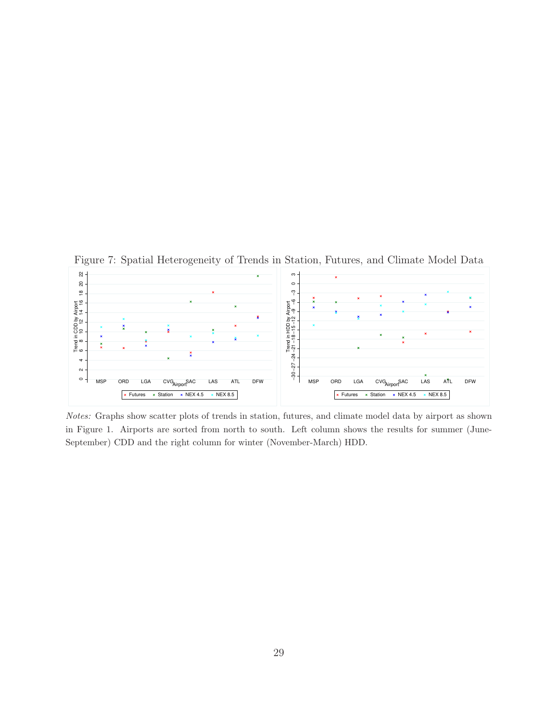

Figure 7: Spatial Heterogeneity of Trends in Station, Futures, and Climate Model Data

Notes: Graphs show scatter plots of trends in station, futures, and climate model data by airport as shown in Figure 1. Airports are sorted from north to south. Left column shows the results for summer (June-September) CDD and the right column for winter (November-March) HDD.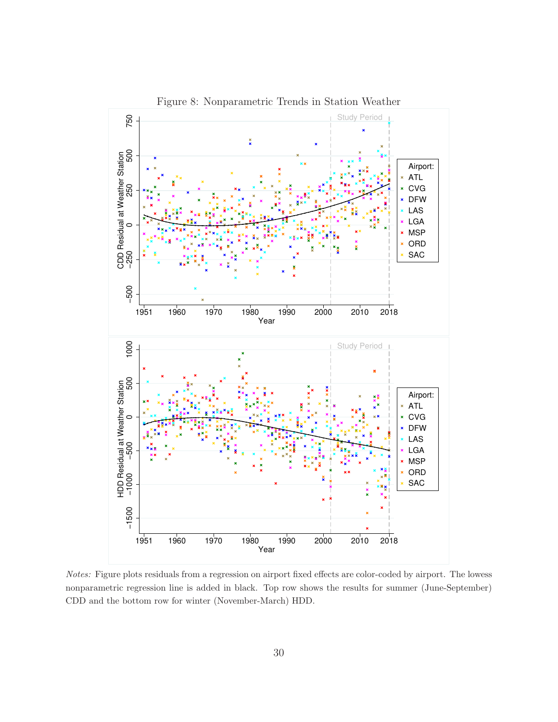

Figure 8: Nonparametric Trends in Station Weather

Notes: Figure plots residuals from a regression on airport fixed effects are color-coded by airport. The lowess nonparametric regression line is added in black. Top row shows the results for summer (June-September) CDD and the bottom row for winter (November-March) HDD.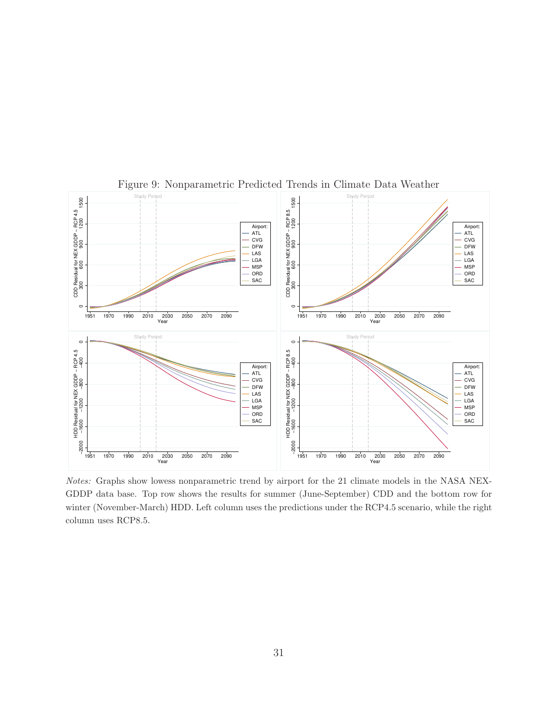

Figure 9: Nonparametric Predicted Trends in Climate Data Weather

Notes: Graphs show lowess nonparametric trend by airport for the 21 climate models in the NASA NEX-GDDP data base. Top row shows the results for summer (June-September) CDD and the bottom row for winter (November-March) HDD. Left column uses the predictions under the RCP4.5 scenario, while the right column uses RCP8.5.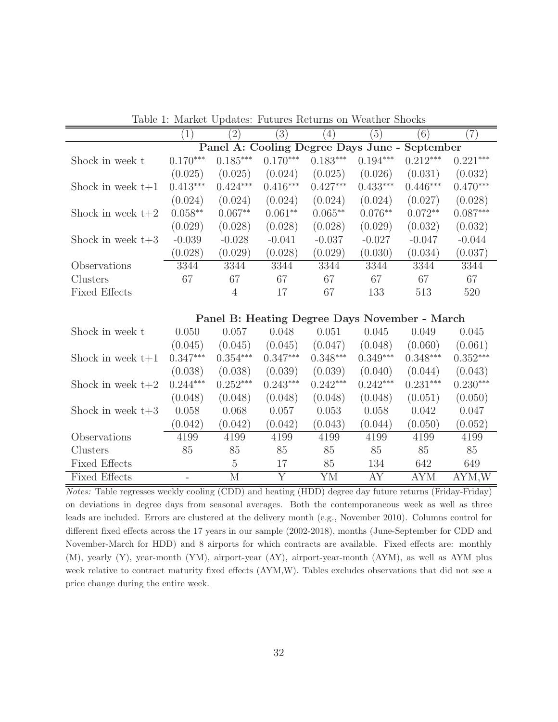|                      | (1)        | $\left(2\right)$ | $\left(3\right)$ | $\left(4\right)$ | $\left(5\right)$ | (6)                                           | $\left( 7\right)$ |
|----------------------|------------|------------------|------------------|------------------|------------------|-----------------------------------------------|-------------------|
|                      |            |                  |                  |                  |                  | Panel A: Cooling Degree Days June - September |                   |
| Shock in week t      | $0.170***$ | $0.185***$       | $0.170***$       | $0.183***$       | $0.194***$       | $0.212***$                                    | $0.221***$        |
|                      | (0.025)    | (0.025)          | (0.024)          | (0.025)          | (0.026)          | (0.031)                                       | (0.032)           |
| Shock in week $t+1$  | $0.413***$ | $0.424***$       | $0.416***$       | $0.427***$       | $0.433***$       | $0.446***$                                    | $0.470***$        |
|                      | (0.024)    | (0.024)          | (0.024)          | (0.024)          | (0.024)          | (0.027)                                       | (0.028)           |
| Shock in week $t+2$  | $0.058**$  | $0.067**$        | $0.061**$        | $0.065**$        | $0.076**$        | $0.072**$                                     | $0.087***$        |
|                      | (0.029)    | (0.028)          | (0.028)          | (0.028)          | (0.029)          | (0.032)                                       | (0.032)           |
| Shock in week $t+3$  | $-0.039$   | $-0.028$         | $-0.041$         | $-0.037$         | $-0.027$         | $-0.047$                                      | $-0.044$          |
|                      | (0.028)    | (0.029)          | (0.028)          | (0.029)          | (0.030)          | (0.034)                                       | (0.037)           |
| Observations         | 3344       | 3344             | 3344             | 3344             | 3344             | 3344                                          | 3344              |
| Clusters             | 67         | 67               | 67               | 67               | 67               | 67                                            | 67                |
| <b>Fixed Effects</b> |            | $\overline{4}$   | 17               | 67               | 133              | 513                                           | 520               |
|                      |            |                  |                  |                  |                  |                                               |                   |
|                      |            |                  |                  |                  |                  | Panel B: Heating Degree Days November - March |                   |
| Shock in week t      | 0.050      | 0.057            | 0.048            | 0.051            | 0.045            | 0.049                                         | 0.045             |
|                      | (0.045)    | (0.045)          | (0.045)          | (0.047)          | (0.048)          | (0.060)                                       | (0.061)           |
| Shock in week $t+1$  | $0.347***$ | $0.354***$       | $0.347***$       | $0.348***$       | $0.349***$       | $0.348***$                                    | $0.352***$        |
|                      | (0.038)    | (0.038)          | (0.039)          | (0.039)          | (0.040)          | (0.044)                                       | (0.043)           |
| Shock in week $t+2$  | $0.244***$ | $0.252***$       | $0.243***$       | $0.242***$       | $0.242***$       | $0.231***$                                    | $0.230***$        |
|                      | (0.048)    | (0.048)          | (0.048)          | (0.048)          | (0.048)          | (0.051)                                       | (0.050)           |
| Shock in week $t+3$  | 0.058      | 0.068            | 0.057            | 0.053            | 0.058            | 0.042                                         | 0.047             |
|                      | (0.042)    | (0.042)          | (0.042)          | (0.043)          | (0.044)          | (0.050)                                       | (0.052)           |
| Observations         | 4199       | 4199             | 4199             | 4199             | 4199             | 4199                                          | 4199              |
| Clusters             | 85         | 85               | 85               | 85               | 85               | 85                                            | 85                |
| <b>Fixed Effects</b> |            | $\overline{5}$   | 17               | 85               | 134              | 642                                           | 649               |
| <b>Fixed Effects</b> |            | $\mathbf{M}$     | $\overline{Y}$   | ΥM               | AY               | <b>AYM</b>                                    | AYM,W             |

Table 1: Market Updates: Futures Returns on Weather Shocks

Notes: Table regresses weekly cooling (CDD) and heating (HDD) degree day future returns (Friday-Friday) on deviations in degree days from seasonal averages. Both the contemporaneous week as well as three leads are included. Errors are clustered at the delivery month (e.g., November 2010). Columns control for different fixed effects across the 17 years in our sample (2002-2018), months (June-September for CDD and November-March for HDD) and 8 airports for which contracts are available. Fixed effects are: monthly (M), yearly (Y), year-month (YM), airport-year (AY), airport-year-month (AYM), as well as AYM plus week relative to contract maturity fixed effects (AYM,W). Tables excludes observations that did not see a price change during the entire week.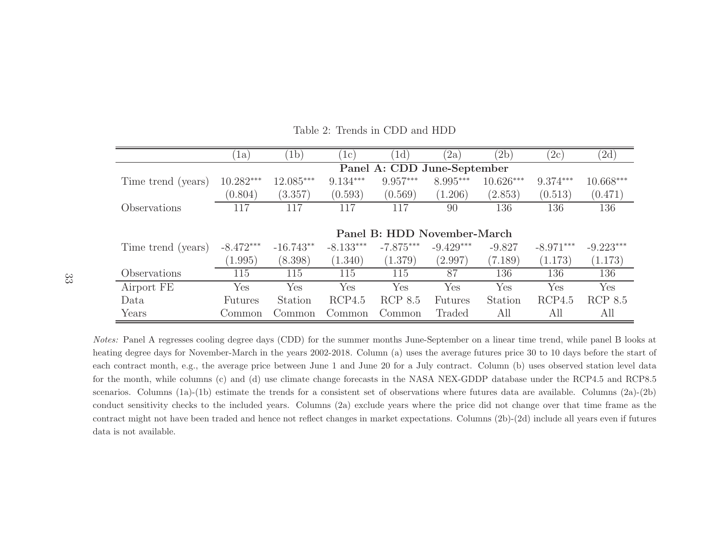|                    | la                          | (b)         | 1c)         | (d)         | (2a)        | (2b)        | (2c)        | $^{'}2d)$   |  |  |  |  |
|--------------------|-----------------------------|-------------|-------------|-------------|-------------|-------------|-------------|-------------|--|--|--|--|
|                    | Panel A: CDD June-September |             |             |             |             |             |             |             |  |  |  |  |
| Time trend (years) | $10.282***$                 | 12.085***   | $9.134***$  | 9.957***    | 8.995***    | $10.626***$ | $9.374***$  | 10.668***   |  |  |  |  |
|                    | (0.804)                     | (3.357)     | (0.593)     | (0.569)     | (1.206)     | (2.853)     | (0.513)     | (0.471)     |  |  |  |  |
| Observations       | 117                         | 117         | 117         | 117         | 90          | 136         | 136         | 136         |  |  |  |  |
|                    |                             |             |             |             |             |             |             |             |  |  |  |  |
|                    | Panel B: HDD November-March |             |             |             |             |             |             |             |  |  |  |  |
| Time trend (years) | $-8.472***$                 | $-16.743**$ | $-8.133***$ | $-7.875***$ | $-9.429***$ | $-9.827$    | $-8.971***$ | $-9.223***$ |  |  |  |  |
|                    | (1.995)                     | (8.398)     | (1.340)     | (1.379)     | (2.997)     | (7.189)     | (1.173)     | (1.173)     |  |  |  |  |
| Observations       | 115                         | 115         | 115         | 115         | 87          | 136         | 136         | 136         |  |  |  |  |
| Airport FE         | Yes                         | Yes         | Yes         | Yes         | Yes         | Yes         | Yes         | Yes         |  |  |  |  |
| Data               | <b>Futures</b>              | Station     | RCP4.5      | RCP 8.5     | Futures     | Station     | RCP4.5      | RCP 8.5     |  |  |  |  |
| Years              | Common                      | Common      | Common      | Common      | Traded      | All         | All         | All         |  |  |  |  |

Table 2: Trends in CDD and HDD

Notes: Panel <sup>A</sup> regresses cooling degree days (CDD) for the summer months June-September on <sup>a</sup> linear time trend, while pane<sup>l</sup> <sup>B</sup> looks at heating degree days for November-March in the years 2002-2018. Column (a) uses the average futures price <sup>30</sup> to <sup>10</sup> days before the start of each contract month, e.g., the average price between June <sup>1</sup> and June <sup>20</sup> for <sup>a</sup> July contract. Column (b) uses observed station level data for the month, while columns (c) and (d) use climate change forecasts in the NASA NEX-GDDP database under the RCP4.5 and RCP8.5 scenarios. Columns (1a)-(1b) estimate the trends for <sup>a</sup> consistent set of observations where futures data are available. Columns (2a)-(2b) conduct sensitivity checks to the included years. Columns (2a) exclude years where the price did not change over that time frame as the contract might not have been traded and hence not reflect changes in market expectations. Columns (2b)-(2d) include all years even if futures data is not available.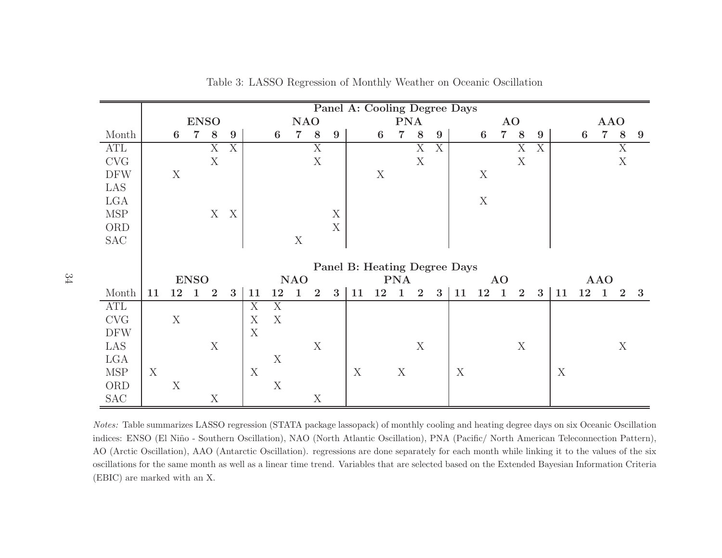|                             |                  |             |             |                  |                           |                           |             |                |                |             |    |                           |              |                  |   | Panel A: Cooling Degree Days |             |                |                |                |    |    |                |       |             |
|-----------------------------|------------------|-------------|-------------|------------------|---------------------------|---------------------------|-------------|----------------|----------------|-------------|----|---------------------------|--------------|------------------|---|------------------------------|-------------|----------------|----------------|----------------|----|----|----------------|-------|-------------|
|                             |                  |             | <b>ENSO</b> |                  |                           |                           |             | <b>NAO</b>     |                |             |    |                           | <b>PNA</b>   |                  |   |                              |             | AO             |                |                |    |    | <b>AAO</b>     |       |             |
| Month                       |                  | 6           | 7           | $8\phantom{1}$   | 9                         |                           | 6           | $\overline{7}$ | 8              | 9           |    | $\boldsymbol{6}$          | 7            | 8                | 9 |                              | 6           | $\overline{7}$ | 8              | $9\phantom{.}$ |    | 6  | $\overline{7}$ | $8\,$ | 9           |
| ATL                         |                  |             |             | X                | X                         |                           |             |                | $\overline{X}$ |             |    |                           |              | X                | X |                              |             |                | X              | X              |    |    |                | X     |             |
| <b>CVG</b>                  |                  |             |             | X                |                           |                           |             |                | $\mathbf X$    |             |    |                           |              | X                |   |                              |             |                | X              |                |    |    |                | X     |             |
| <b>DFW</b>                  |                  | $\mathbf X$ |             |                  |                           |                           |             |                |                |             |    | $\boldsymbol{\mathrm{X}}$ |              |                  |   |                              | $\mathbf X$ |                |                |                |    |    |                |       |             |
| LAS                         |                  |             |             |                  |                           |                           |             |                |                |             |    |                           |              |                  |   |                              |             |                |                |                |    |    |                |       |             |
| LGA                         |                  |             |             |                  |                           |                           |             |                |                |             |    |                           |              |                  |   |                              | $\mathbf X$ |                |                |                |    |    |                |       |             |
| $\ensuremath{\mathsf{MSP}}$ |                  |             |             | X                | $\boldsymbol{\mathrm{X}}$ |                           |             |                |                | $\mathbf X$ |    |                           |              |                  |   |                              |             |                |                |                |    |    |                |       |             |
| ORD                         |                  |             |             |                  |                           |                           |             |                |                | $\mathbf X$ |    |                           |              |                  |   |                              |             |                |                |                |    |    |                |       |             |
| <b>SAC</b>                  |                  |             |             |                  |                           |                           |             | $\mathbf X$    |                |             |    |                           |              |                  |   |                              |             |                |                |                |    |    |                |       |             |
|                             |                  |             |             |                  |                           |                           |             |                |                |             |    |                           |              |                  |   |                              |             |                |                |                |    |    |                |       |             |
|                             |                  |             |             |                  |                           |                           |             |                |                |             |    |                           |              |                  |   | Panel B: Heating Degree Days |             |                |                |                |    |    |                |       |             |
|                             |                  |             | <b>ENSO</b> |                  |                           |                           |             | <b>NAO</b>     |                |             |    |                           | <b>PNA</b>   |                  |   |                              |             | <b>AO</b>      |                |                |    |    | <b>AAO</b>     |       |             |
| Month                       | 11               | $12\quad 1$ |             | $\overline{2}$   | 3                         | 11                        | 12          | $\mathbf{1}$   | $\overline{2}$ | 3           | 11 | 12                        | $\mathbf{1}$ | $\overline{2}$   | 3 | 11                           | $12\quad1$  |                | $\overline{2}$ | 3              | 11 | 12 | $\mathbf{1}$   |       | $2 \quad 3$ |
| ATL                         |                  |             |             |                  |                           | X                         | X           |                |                |             |    |                           |              |                  |   |                              |             |                |                |                |    |    |                |       |             |
| $\ensuremath{\mathrm{CVG}}$ |                  | $\mathbf X$ |             |                  |                           | $\mathbf X$               | X           |                |                |             |    |                           |              |                  |   |                              |             |                |                |                |    |    |                |       |             |
| <b>DFW</b>                  |                  |             |             |                  |                           | $\boldsymbol{\mathrm{X}}$ |             |                |                |             |    |                           |              |                  |   |                              |             |                |                |                |    |    |                |       |             |
| LAS                         |                  |             |             | $\boldsymbol{X}$ |                           |                           |             |                | X              |             |    |                           |              | $\boldsymbol{X}$ |   |                              |             |                | X              |                |    |    |                | X     |             |
| LGA                         |                  |             |             |                  |                           |                           | $\mathbf X$ |                |                |             |    |                           |              |                  |   |                              |             |                |                |                |    |    |                |       |             |
| MSP                         | $\boldsymbol{X}$ |             |             |                  |                           | X                         |             |                |                |             | X  |                           | X            |                  |   | X                            |             |                |                |                | X  |    |                |       |             |
| ORD                         |                  | X           |             |                  |                           |                           | X           |                |                |             |    |                           |              |                  |   |                              |             |                |                |                |    |    |                |       |             |
| <b>SAC</b>                  |                  |             |             | X                |                           |                           |             |                | X              |             |    |                           |              |                  |   |                              |             |                |                |                |    |    |                |       |             |

Table 3: LASSO Regression of Monthly Weather on Oceanic Oscillation

Notes: Table summarizes LASSO regression (STATA package lassopack) of monthly cooling and heating degree days on six Oceanic Oscillationindices: ENSO (El Niño - Southern Oscillation), NAO (North Atlantic Oscillation), PNA (Pacific/ North American Teleconnection Pattern), AO (Arctic Oscillation), AAO (Antarctic Oscillation). regressions are done separately for each month while linking it to the values of the six oscillations for the same month as well as <sup>a</sup> linear time trend. Variables that are selected based on the Extended Bayesian Information Criteria (EBIC) are marked with an X.

34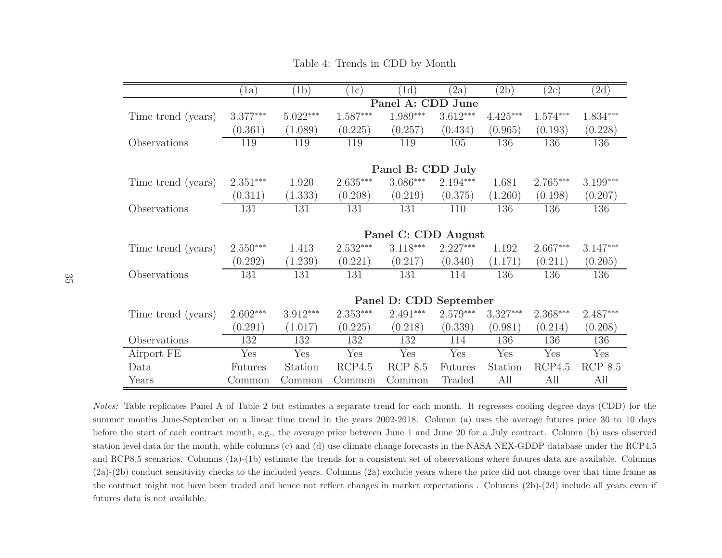|                    | (a)            | (b)        | 1c)        | (d)                    | (2a)           | (2b)       | (2c)       | (2d)           |
|--------------------|----------------|------------|------------|------------------------|----------------|------------|------------|----------------|
|                    |                |            |            | Panel A: CDD           | June           |            |            |                |
| Time trend (years) | $3.377***$     | $5.022***$ | $1.587***$ | $1.989***$             | $3.612***$     | $4.425***$ | $1.574***$ | $1.834***$     |
|                    | (0.361)        | (1.089)    | (0.225)    | (0.257)                | (0.434)        | (0.965)    | (0.193)    | (0.228)        |
| Observations       | 119            | 119        | 119        | 119                    | 105            | 136        | 136        | 136            |
|                    |                |            |            |                        |                |            |            |                |
|                    |                |            |            | Panel B: CDD July      |                |            |            |                |
| Time trend (years) | $2.351***$     | 1.920      | $2.635***$ | $3.086***$             | $2.194***$     | 1.681      | $2.765***$ | $3.199***$     |
|                    | (0.311)        | (1.333)    | (0.208)    | (0.219)                | (0.375)        | (1.260)    | (0.198)    | (0.207)        |
| Observations       | 131            | 131        | 131        | 131                    | 110            | 136        | 136        | 136            |
|                    |                |            |            |                        |                |            |            |                |
|                    |                |            |            | Panel C: CDD August    |                |            |            |                |
| Time trend (years) | $2.550***$     | 1.413      | $2.532***$ | $3.118***$             | $2.227***$     | 1.192      | $2.667***$ | $3.147***$     |
|                    | (0.292)        | (1.239)    | (0.221)    | (0.217)                | (0.340)        | (1.171)    | (0.211)    | (0.205)        |
| Observations       | 131            | 131        | 131        | 131                    | 114            | 136        | 136        | 136            |
|                    |                |            |            |                        |                |            |            |                |
|                    |                |            |            | Panel D: CDD September |                |            |            |                |
| Time trend (years) | $2.602***$     | $3.912***$ | $2.353***$ | $2.491***$             | $2.579***$     | $3.327***$ | $2.368***$ | $2.487***$     |
|                    | (0.291)        | (1.017)    | (0.225)    | (0.218)                | (0.339)        | (0.981)    | (0.214)    | (0.208)        |
| Observations       | 132            | 132        | 132        | 132                    | 114            | 136        | 136        | 136            |
| Airport FE         | Yes            | Yes        | Yes        | Yes                    | Yes            | Yes        | Yes        | Yes            |
| Data               | <b>Futures</b> | Station    | RCP4.5     | <b>RCP 8.5</b>         | <b>Futures</b> | Station    | RCP4.5     | <b>RCP 8.5</b> |
| Years              | Common         | Common     | Common     | Common                 | Traded         | All        | All        | All            |

Table 4: Trends in CDD by Month

Notes: Table replicates Panel <sup>A</sup> of Table <sup>2</sup> but estimates <sup>a</sup> separate trend for each month. It regresses cooling degree days (CDD) for the summer months June-September on <sup>a</sup> linear time trend in the years 2002-2018. Column (a) uses the average futures price <sup>30</sup> to <sup>10</sup> days before the start of each contract month, e.g., the average price between June <sup>1</sup> and June <sup>20</sup> for <sup>a</sup> July contract. Column (b) uses observed station level data for the month, while columns (c) and (d) use climate change forecasts in the NASA NEX-GDDP database under the RCP4.5 and RCP8.5 scenarios. Columns (1a)-(1b) estimate the trends for <sup>a</sup> consistent set of observations where futures data are available. Columns (2a)-(2b) conduct sensitivity checks to the included years. Columns (2a) exclude years where the price did not change over that time frame as the contract might not have been traded and hence not reflect changes in market expectations . Columns (2b)-(2d) include all years even if futures data is not available.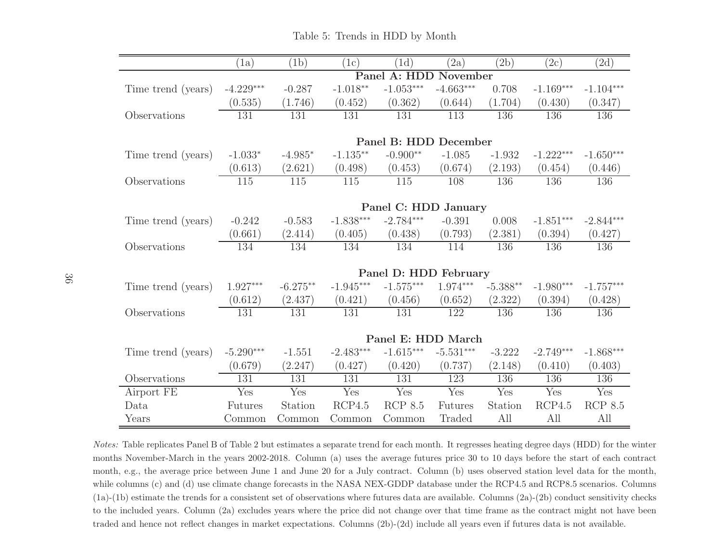|                    | (1a)             | (1b)             | (1c)                                 | (1d)                  | (2a)             | (2b)       | (2c)        | (2d)        |
|--------------------|------------------|------------------|--------------------------------------|-----------------------|------------------|------------|-------------|-------------|
|                    |                  |                  |                                      | Panel A: HDD          | November         |            |             |             |
| Time trend (years) | $-4.229***$      | $-0.287$         | $-1.018**$                           | $-1.053***$           | $-4.663***$      | 0.708      | $-1.169***$ | $-1.104***$ |
|                    | (0.535)          | (1.746)          | (0.452)                              | (0.362)               | (0.644)          | (1.704)    | (0.430)     | (0.347)     |
| Observations       | $\overline{131}$ | $\overline{131}$ | 131                                  | 131                   | $\overline{113}$ | 136        | 136         | 136         |
|                    |                  |                  |                                      |                       |                  |            |             |             |
|                    |                  |                  |                                      | Panel B: HDD December |                  |            |             |             |
| Time trend (years) | $-1.033*$        | $-4.985*$        | $\text{-}1.135^{\ast\ast}$           | $-0.900**$            | $-1.085$         | $-1.932$   | $-1.222***$ | $-1.650***$ |
|                    | (0.613)          | (2.621)          | (0.498)                              | (0.453)               | (0.674)          | (2.193)    | (0.454)     | (0.446)     |
| Observations       | $\overline{115}$ | 115              | $\overline{115}$                     | $\overline{115}$      | 108              | 136        | 136         | 136         |
|                    |                  |                  |                                      |                       |                  |            |             |             |
|                    |                  |                  |                                      | Panel C: HDD January  |                  |            |             |             |
| Time trend (years) | $-0.242$         | $-0.583$         | $\textnormal{-}1.838^{\ast\ast\ast}$ | $-2.784***$           | $-0.391$         | 0.008      | $-1.851***$ | $-2.844***$ |
|                    | (0.661)          | (2.414)          | (0.405)                              | (0.438)               | (0.793)          | (2.381)    | (0.394)     | (0.427)     |
| Observations       | 134              | 134              | 134                                  | 134                   | 114              | 136        | 136         | 136         |
|                    |                  |                  |                                      |                       |                  |            |             |             |
|                    |                  |                  |                                      | Panel D: HDD February |                  |            |             |             |
| Time trend (years) | $1.927***$       | $-6.275**$       | $-1.945***$                          | $-1.575***$           | $1.974***$       | $-5.388**$ | $-1.980***$ | $-1.757***$ |
|                    | (0.612)          | (2.437)          | (0.421)                              | (0.456)               | (0.652)          | (2.322)    | (0.394)     | (0.428)     |
| Observations       | $\overline{131}$ | 131              | 131                                  | 131                   | 122              | 136        | 136         | 136         |
|                    |                  |                  |                                      |                       |                  |            |             |             |
|                    |                  |                  |                                      | Panel E: HDD March    |                  |            |             |             |
| Time trend (years) | $-5.290***$      | $-1.551$         | $-2.483***$                          | $-1.615***$           | $-5.531***$      | $-3.222$   | $-2.749***$ | $-1.868***$ |
|                    | (0.679)          | (2.247)          | (0.427)                              | (0.420)               | (0.737)          | (2.148)    | (0.410)     | (0.403)     |
| Observations       | 131              | 131              | 131                                  | 131                   | 123              | 136        | 136         | 136         |
| Airport FE         | Yes              | Yes              | Yes                                  | Yes                   | Yes              | Yes        | Yes         | Yes         |
| Data               | <b>Futures</b>   | Station          | RCP4.5                               | <b>RCP 8.5</b>        | Futures          | Station    | RCP4.5      | RCP $8.5$   |
| Years              | Common           | Common           | Common                               | Common                | Traded           | All        | All         | All         |

Table 5: Trends in HDD by Month

Notes: Table replicates Panel <sup>B</sup> of Table <sup>2</sup> but estimates <sup>a</sup> separate trend for each month. It regresses heating degree days (HDD) for the winter months November-March in the years 2002-2018. Column (a) uses the average futures price <sup>30</sup> to <sup>10</sup> days before the start of each contract month, e.g., the average price between June <sup>1</sup> and June <sup>20</sup> for <sup>a</sup> July contract. Column (b) uses observed station level data for the month, while columns (c) and (d) use climate change forecasts in the NASA NEX-GDDP database under the RCP4.5 and RCP8.5 scenarios. Columns  $(1a)-(1b)$  estimate the trends for a consistent set of observations where futures data are available. Columns  $(2a)-(2b)$  conduct sensitivity checks to the included years. Column (2a) excludes years where the price did not change over that time frame as the contract might not have beentraded and hence not reflect changes in market expectations. Columns (2b)-(2d) include all years even if futures data is not available.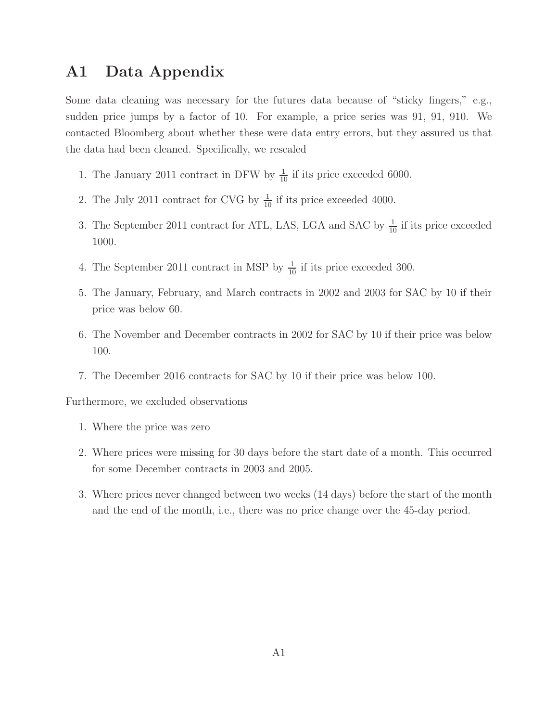# A1 Data Appendix

Some data cleaning was necessary for the futures data because of "sticky fingers," e.g., sudden price jumps by a factor of 10. For example, a price series was 91, 91, 910. We contacted Bloomberg about whether these were data entry errors, but they assured us that the data had been cleaned. Specifically, we rescaled

- 1. The January 2011 contract in DFW by  $\frac{1}{10}$  if its price exceeded 6000.
- 2. The July 2011 contract for CVG by  $\frac{1}{10}$  if its price exceeded 4000.
- 3. The September 2011 contract for ATL, LAS, LGA and SAC by  $\frac{1}{10}$  if its price exceeded 1000.
- 4. The September 2011 contract in MSP by  $\frac{1}{10}$  if its price exceeded 300.
- 5. The January, February, and March contracts in 2002 and 2003 for SAC by 10 if their price was below 60.
- 6. The November and December contracts in 2002 for SAC by 10 if their price was below 100.
- 7. The December 2016 contracts for SAC by 10 if their price was below 100.

Furthermore, we excluded observations

- 1. Where the price was zero
- 2. Where prices were missing for 30 days before the start date of a month. This occurred for some December contracts in 2003 and 2005.
- 3. Where prices never changed between two weeks (14 days) before the start of the month and the end of the month, i.e., there was no price change over the 45-day period.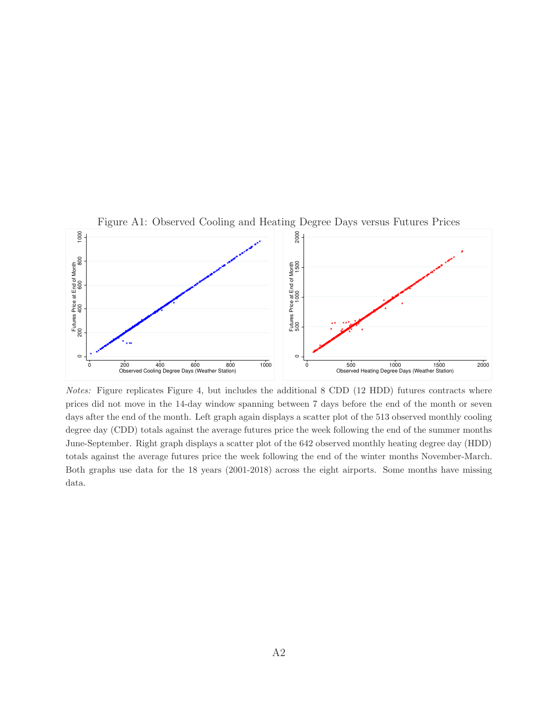

Figure A1: Observed Cooling and Heating Degree Days versus Futures Prices

Notes: Figure replicates Figure 4, but includes the additional 8 CDD (12 HDD) futures contracts where prices did not move in the 14-day window spanning between 7 days before the end of the month or seven days after the end of the month. Left graph again displays a scatter plot of the 513 observed monthly cooling degree day (CDD) totals against the average futures price the week following the end of the summer months June-September. Right graph displays a scatter plot of the 642 observed monthly heating degree day (HDD) totals against the average futures price the week following the end of the winter months November-March. Both graphs use data for the 18 years (2001-2018) across the eight airports. Some months have missing data.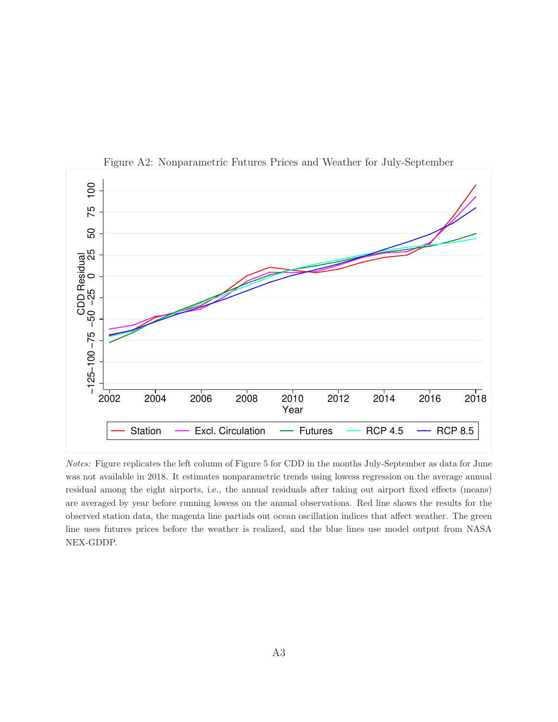

Figure A2: Nonparametric Futures Prices and Weather for July-September

Notes: Figure replicates the left column of Figure 5 for CDD in the months July-September as data for June was not available in 2018. It estimates nonparametric trends using lowess regression on the average annual residual among the eight airports, i.e., the annual residuals after taking out airport fixed effects (means) are averaged by year before running lowess on the annual observations. Red line shows the results for the observed station data, the magenta line partials out ocean oscillation indices that affect weather. The green line uses futures prices before the weather is realized, and the blue lines use model output from NASA NEX-GDDP.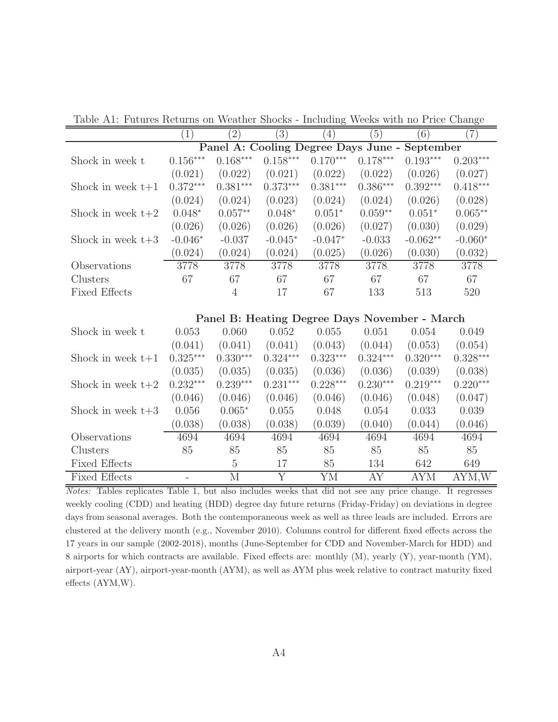Table A1: Futures Returns on Weather Shocks - Including Weeks with no Price Change

|                      | (1)                    | $\left( 2\right)$  | $\left(3\right)$ | $\left(4\right)$ | $\left(5\right)$ | (6)                                           | $\left( 7\right)$ |
|----------------------|------------------------|--------------------|------------------|------------------|------------------|-----------------------------------------------|-------------------|
|                      |                        |                    |                  |                  |                  | Panel A: Cooling Degree Days June - September |                   |
| Shock in week t      | $0.156^{\ast\ast\ast}$ | $0.168***$         | $0.158***$       | $0.170***$       | $0.178***$       | $0.193***$                                    | $0.203***$        |
|                      | (0.021)                | (0.022)            | (0.021)          | (0.022)          | (0.022)          | (0.026)                                       | (0.027)           |
| Shock in week $t+1$  | $0.372***$             | $0.381***$         | $0.373***$       | $0.381***$       | $0.386***$       | $0.392***$                                    | $0.418***$        |
|                      | (0.024)                | (0.024)            | (0.023)          | (0.024)          | (0.024)          | (0.026)                                       | (0.028)           |
| Shock in week $t+2$  | $0.048*$               | $0.057^{\ast\ast}$ | $0.048*$         | $0.051*$         | $0.059**$        | $0.051*$                                      | $0.065**$         |
|                      | (0.026)                | (0.026)            | (0.026)          | (0.026)          | (0.027)          | (0.030)                                       | (0.029)           |
| Shock in week $t+3$  | $-0.046*$              | $-0.037$           | $-0.045*$        | $-0.047*$        | $-0.033$         | $-0.062**$                                    | $-0.060*$         |
|                      | (0.024)                | (0.024)            | (0.024)          | (0.025)          | (0.026)          | (0.030)                                       | (0.032)           |
| Observations         | 3778                   | 3778               | 3778             | 3778             | 3778             | 3778                                          | 3778              |
| Clusters             | 67                     | 67                 | 67               | 67               | 67               | 67                                            | 67                |
| <b>Fixed Effects</b> |                        | $\overline{4}$     | 17               | 67               | 133              | 513                                           | 520               |
|                      |                        |                    |                  |                  |                  |                                               |                   |
|                      |                        |                    |                  |                  |                  | Panel B: Heating Degree Days November - March |                   |
| Shock in week t      | 0.053                  | 0.060              | 0.052            | 0.055            | 0.051            | 0.054                                         | 0.049             |
|                      | (0.041)                | (0.041)            | (0.041)          | (0.043)          | (0.044)          | (0.053)                                       | (0.054)           |
| Shock in week $t+1$  | $0.325***$             | $0.330***$         | $0.324***$       | $0.323***$       | $0.324***$       | $0.320***$                                    | $0.328***$        |
|                      | (0.035)                | (0.035)            | (0.035)          | (0.036)          | (0.036)          | (0.039)                                       | (0.038)           |
| Shock in week $t+2$  | $0.232***$             | $0.239***$         | $0.231***$       | $0.228***$       | $0.230***$       | $0.219***$                                    | $0.220***$        |
|                      | (0.046)                | (0.046)            | (0.046)          | (0.046)          | (0.046)          | (0.048)                                       | (0.047)           |
| Shock in week $t+3$  | 0.056                  | $0.065*$           | 0.055            | 0.048            | 0.054            | 0.033                                         | 0.039             |
|                      | (0.038)                | (0.038)            | (0.038)          | (0.039)          | (0.040)          | (0.044)                                       | (0.046)           |
| Observations         | 4694                   | 4694               | 4694             | 4694             | 4694             | 4694                                          | 4694              |
| Clusters             | 85                     | 85                 | 85               | 85               | 85               | 85                                            | 85                |
| <b>Fixed Effects</b> |                        | $5\,$              | 17               | 85               | 134              | 642                                           | 649               |
| <b>Fixed Effects</b> |                        | $\mathbf M$        | Y                | YM               | AY               | <b>AYM</b>                                    | AYM,W             |

Notes: Tables replicates Table 1, but also includes weeks that did not see any price change. It regresses weekly cooling (CDD) and heating (HDD) degree day future returns (Friday-Friday) on deviations in degree days from seasonal averages. Both the contemporaneous week as well as three leads are included. Errors are clustered at the delivery month (e.g., November 2010). Columns control for different fixed effects across the 17 years in our sample (2002-2018), months (June-September for CDD and November-March for HDD) and 8 airports for which contracts are available. Fixed effects are: monthly (M), yearly (Y), year-month (YM), airport-year (AY), airport-year-month (AYM), as well as AYM plus week relative to contract maturity fixed effects (AYM,W).